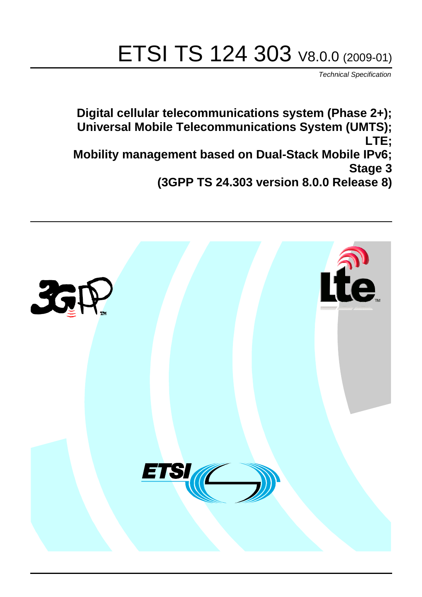# ETSI TS 124 303 V8.0.0 (2009-01)

*Technical Specification*

**Digital cellular telecommunications system (Phase 2+); Universal Mobile Telecommunications System (UMTS); LTE; Mobility management based on Dual-Stack Mobile IPv6; Stage 3 (3GPP TS 24.303 version 8.0.0 Release 8)**

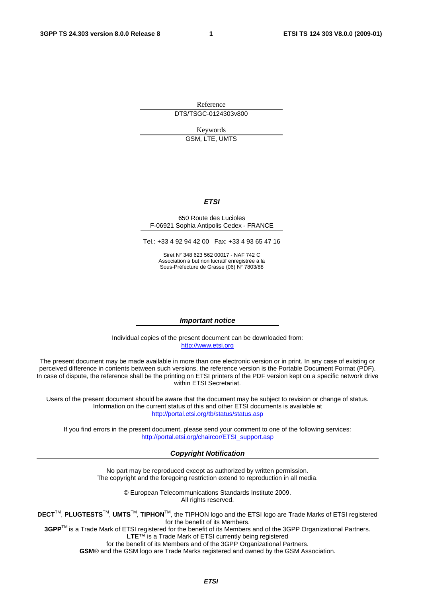Reference DTS/TSGC-0124303v800

Keywords

GSM, LTE, UMTS

#### *ETSI*

#### 650 Route des Lucioles F-06921 Sophia Antipolis Cedex - FRANCE

Tel.: +33 4 92 94 42 00 Fax: +33 4 93 65 47 16

Siret N° 348 623 562 00017 - NAF 742 C Association à but non lucratif enregistrée à la Sous-Préfecture de Grasse (06) N° 7803/88

#### *Important notice*

Individual copies of the present document can be downloaded from: [http://www.etsi.org](http://www.etsi.org/)

The present document may be made available in more than one electronic version or in print. In any case of existing or perceived difference in contents between such versions, the reference version is the Portable Document Format (PDF). In case of dispute, the reference shall be the printing on ETSI printers of the PDF version kept on a specific network drive within ETSI Secretariat.

Users of the present document should be aware that the document may be subject to revision or change of status. Information on the current status of this and other ETSI documents is available at <http://portal.etsi.org/tb/status/status.asp>

If you find errors in the present document, please send your comment to one of the following services: [http://portal.etsi.org/chaircor/ETSI\\_support.asp](http://portal.etsi.org/chaircor/ETSI_support.asp)

#### *Copyright Notification*

No part may be reproduced except as authorized by written permission. The copyright and the foregoing restriction extend to reproduction in all media.

> © European Telecommunications Standards Institute 2009. All rights reserved.

**DECT**TM, **PLUGTESTS**TM, **UMTS**TM, **TIPHON**TM, the TIPHON logo and the ETSI logo are Trade Marks of ETSI registered for the benefit of its Members.

**3GPP**TM is a Trade Mark of ETSI registered for the benefit of its Members and of the 3GPP Organizational Partners. **LTE**™ is a Trade Mark of ETSI currently being registered

for the benefit of its Members and of the 3GPP Organizational Partners.

**GSM**® and the GSM logo are Trade Marks registered and owned by the GSM Association.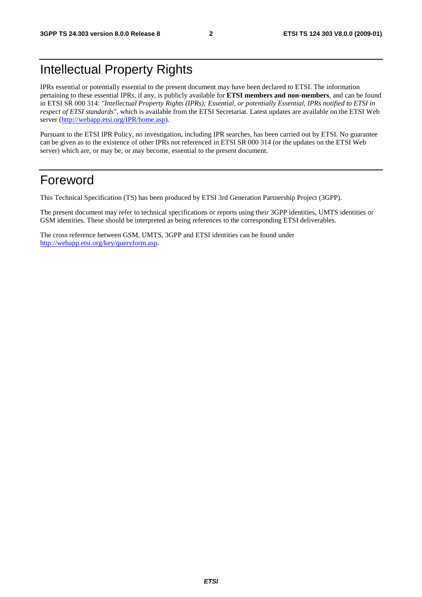## Intellectual Property Rights

IPRs essential or potentially essential to the present document may have been declared to ETSI. The information pertaining to these essential IPRs, if any, is publicly available for **ETSI members and non-members**, and can be found in ETSI SR 000 314: *"Intellectual Property Rights (IPRs); Essential, or potentially Essential, IPRs notified to ETSI in respect of ETSI standards"*, which is available from the ETSI Secretariat. Latest updates are available on the ETSI Web server (<http://webapp.etsi.org/IPR/home.asp>).

Pursuant to the ETSI IPR Policy, no investigation, including IPR searches, has been carried out by ETSI. No guarantee can be given as to the existence of other IPRs not referenced in ETSI SR 000 314 (or the updates on the ETSI Web server) which are, or may be, or may become, essential to the present document.

## Foreword

This Technical Specification (TS) has been produced by ETSI 3rd Generation Partnership Project (3GPP).

The present document may refer to technical specifications or reports using their 3GPP identities, UMTS identities or GSM identities. These should be interpreted as being references to the corresponding ETSI deliverables.

The cross reference between GSM, UMTS, 3GPP and ETSI identities can be found under <http://webapp.etsi.org/key/queryform.asp>.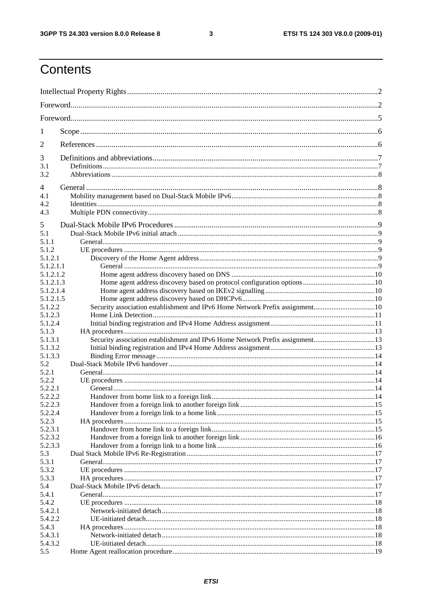$\mathbf{3}$ 

## Contents

| 1                      |                                                                              |  |  |
|------------------------|------------------------------------------------------------------------------|--|--|
| 2                      |                                                                              |  |  |
| 3                      |                                                                              |  |  |
| 3.1                    |                                                                              |  |  |
| 3.2                    |                                                                              |  |  |
| 4                      |                                                                              |  |  |
| 4.1<br>4.2             |                                                                              |  |  |
| 4.3                    |                                                                              |  |  |
| 5                      |                                                                              |  |  |
| 5.1                    |                                                                              |  |  |
| 5.1.1                  |                                                                              |  |  |
| 5.1.2<br>5.1.2.1       |                                                                              |  |  |
| 5.1.2.1.1              |                                                                              |  |  |
| 5.1.2.1.2              |                                                                              |  |  |
| 5.1.2.1.3<br>5.1.2.1.4 |                                                                              |  |  |
| 5.1.2.1.5              |                                                                              |  |  |
| 5.1.2.2                | Security association establishment and IPv6 Home Network Prefix assignment10 |  |  |
| 5.1.2.3                |                                                                              |  |  |
| 5.1.2.4                |                                                                              |  |  |
| 5.1.3                  |                                                                              |  |  |
| 5.1.3.1                | Security association establishment and IPv6 Home Network Prefix assignment13 |  |  |
| 5.1.3.2                |                                                                              |  |  |
| 5.1.3.3                |                                                                              |  |  |
| 5.2<br>5.2.1           |                                                                              |  |  |
| 5.2.2                  |                                                                              |  |  |
| 5.2.2.1                |                                                                              |  |  |
| 5.2.2.2                |                                                                              |  |  |
| 5.2.2.3                |                                                                              |  |  |
| 5.2.2.4                |                                                                              |  |  |
| 5.2.3                  |                                                                              |  |  |
| 5.2.3.1                |                                                                              |  |  |
| 5.2.3.2<br>5.2.3.3     |                                                                              |  |  |
| 5.3                    |                                                                              |  |  |
| 5.3.1                  |                                                                              |  |  |
| 5.3.2                  |                                                                              |  |  |
| 5.3.3                  |                                                                              |  |  |
| 5.4                    |                                                                              |  |  |
| 5.4.1                  |                                                                              |  |  |
| 5.4.2                  |                                                                              |  |  |
| 5.4.2.1                |                                                                              |  |  |
| 5.4.2.2                |                                                                              |  |  |
| 5.4.3<br>5.4.3.1       |                                                                              |  |  |
| 5.4.3.2                |                                                                              |  |  |
| 5.5                    |                                                                              |  |  |
|                        |                                                                              |  |  |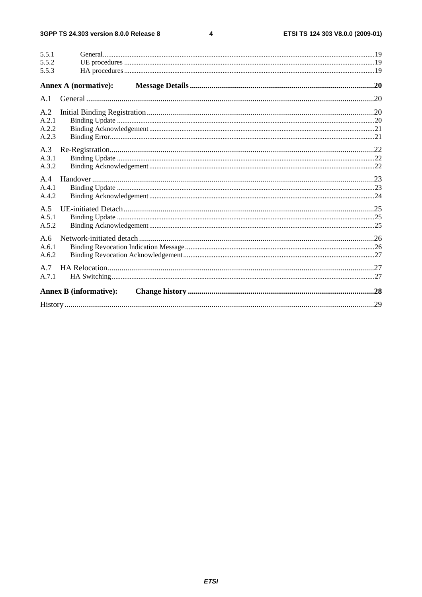#### $\overline{\mathbf{4}}$

| 5.5.1        |                               |  |
|--------------|-------------------------------|--|
| 5.5.2        |                               |  |
| 5.5.3        |                               |  |
|              | <b>Annex A (normative):</b>   |  |
| A.1          |                               |  |
| A.2          |                               |  |
| A.2.1        |                               |  |
| A.2.2        |                               |  |
| A.2.3        |                               |  |
| A.3          |                               |  |
| A.3.1        |                               |  |
| A.3.2        |                               |  |
|              |                               |  |
| A.4<br>A.4.1 |                               |  |
| A.4.2        |                               |  |
|              |                               |  |
| A.5          |                               |  |
| A.5.1        |                               |  |
| A.5.2        |                               |  |
| A.6          |                               |  |
| A.6.1        |                               |  |
| A.6.2        |                               |  |
| A.7          |                               |  |
| A.7.1        |                               |  |
|              |                               |  |
|              | <b>Annex B</b> (informative): |  |
|              |                               |  |
|              |                               |  |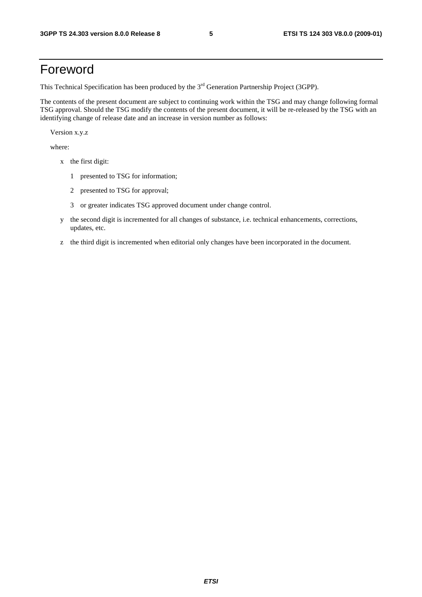## Foreword

This Technical Specification has been produced by the 3<sup>rd</sup> Generation Partnership Project (3GPP).

The contents of the present document are subject to continuing work within the TSG and may change following formal TSG approval. Should the TSG modify the contents of the present document, it will be re-released by the TSG with an identifying change of release date and an increase in version number as follows:

Version x.y.z

where:

- x the first digit:
	- 1 presented to TSG for information;
	- 2 presented to TSG for approval;
	- 3 or greater indicates TSG approved document under change control.
- y the second digit is incremented for all changes of substance, i.e. technical enhancements, corrections, updates, etc.
- z the third digit is incremented when editorial only changes have been incorporated in the document.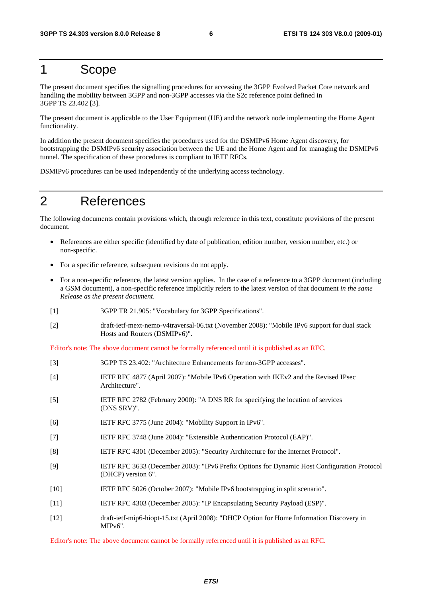## 1 Scope

The present document specifies the signalling procedures for accessing the 3GPP Evolved Packet Core network and handling the mobility between 3GPP and non-3GPP accesses via the S2c reference point defined in 3GPP TS 23.402 [3].

The present document is applicable to the User Equipment (UE) and the network node implementing the Home Agent functionality.

In addition the present document specifies the procedures used for the DSMIPv6 Home Agent discovery, for bootstrapping the DSMIPv6 security association between the UE and the Home Agent and for managing the DSMIPv6 tunnel. The specification of these procedures is compliant to IETF RFCs.

DSMIPv6 procedures can be used independently of the underlying access technology.

## 2 References

The following documents contain provisions which, through reference in this text, constitute provisions of the present document.

- References are either specific (identified by date of publication, edition number, version number, etc.) or non-specific.
- For a specific reference, subsequent revisions do not apply.
- For a non-specific reference, the latest version applies. In the case of a reference to a 3GPP document (including a GSM document), a non-specific reference implicitly refers to the latest version of that document *in the same Release as the present document*.
- [1] 3GPP TR 21.905: "Vocabulary for 3GPP Specifications".
- [2] draft-ietf-mext-nemo-v4traversal-06.txt (November 2008): "Mobile IPv6 support for dual stack Hosts and Routers (DSMIPv6)".

Editor's note: The above document cannot be formally referenced until it is published as an RFC.

| $[3]$             | 3GPP TS 23.402: "Architecture Enhancements for non-3GPP accesses".                                                |
|-------------------|-------------------------------------------------------------------------------------------------------------------|
| $[4]$             | IETF RFC 4877 (April 2007): "Mobile IPv6 Operation with IKEv2 and the Revised IPsec<br>Architecture".             |
| $\lceil 5 \rceil$ | IETF RFC 2782 (February 2000): "A DNS RR for specifying the location of services<br>(DNS SRV)".                   |
| [6]               | IETF RFC 3775 (June 2004): "Mobility Support in IPv6".                                                            |
| $[7]$             | IETF RFC 3748 (June 2004): "Extensible Authentication Protocol (EAP)".                                            |
| [8]               | IETF RFC 4301 (December 2005): "Security Architecture for the Internet Protocol".                                 |
| [9]               | IETF RFC 3633 (December 2003): "IPv6 Prefix Options for Dynamic Host Configuration Protocol<br>(DHCP) version 6". |
| $[10]$            | IETF RFC 5026 (October 2007): "Mobile IPv6 bootstrapping in split scenario".                                      |
| $[11]$            | IETF RFC 4303 (December 2005): "IP Encapsulating Security Payload (ESP)".                                         |
| $[12]$            | draft-ietf-mip6-hiopt-15.txt (April 2008): "DHCP Option for Home Information Discovery in<br>$MIPv6$ ".           |

Editor's note: The above document cannot be formally referenced until it is published as an RFC.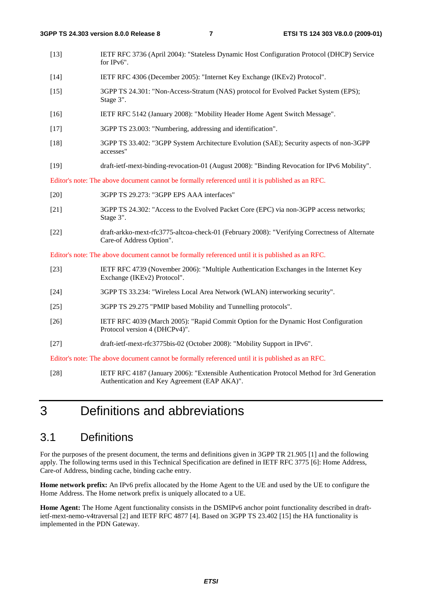- [13] IETF RFC 3736 (April 2004): "Stateless Dynamic Host Configuration Protocol (DHCP) Service for IPv6".
- [14] IETF RFC 4306 (December 2005): "Internet Key Exchange (IKEv2) Protocol".
- [15] 3GPP TS 24.301: "Non-Access-Stratum (NAS) protocol for Evolved Packet System (EPS); Stage 3".
- [16] IETF RFC 5142 (January 2008): "Mobility Header Home Agent Switch Message".
- [17] 3GPP TS 23.003: "Numbering, addressing and identification".
- [18] 3GPP TS 33.402: "3GPP System Architecture Evolution (SAE); Security aspects of non-3GPP accesses"
- [19] draft-ietf-mext-binding-revocation-01 (August 2008): "Binding Revocation for IPv6 Mobility".

Editor's note: The above document cannot be formally referenced until it is published as an RFC.

- [20] 3GPP TS 29.273: "3GPP EPS AAA interfaces"
- [21] 3GPP TS 24.302: "Access to the Evolved Packet Core (EPC) via non-3GPP access networks; Stage 3".
- [22] draft-arkko-mext-rfc3775-altcoa-check-01 (February 2008): "Verifying Correctness of Alternate Care-of Address Option".

Editor's note: The above document cannot be formally referenced until it is published as an RFC.

- [23] IETF RFC 4739 (November 2006): "Multiple Authentication Exchanges in the Internet Key Exchange (IKEv2) Protocol".
- [24] 3GPP TS 33.234: "Wireless Local Area Network (WLAN) interworking security".
- [25] 3GPP TS 29.275 "PMIP based Mobility and Tunnelling protocols".
- [26] IETF RFC 4039 (March 2005): "Rapid Commit Option for the Dynamic Host Configuration Protocol version 4 (DHCPv4)".
- [27] draft-ietf-mext-rfc3775bis-02 (October 2008): "Mobility Support in IPv6".

Editor's note: The above document cannot be formally referenced until it is published as an RFC.

[28] IETF RFC 4187 (January 2006): "Extensible Authentication Protocol Method for 3rd Generation Authentication and Key Agreement (EAP AKA)".

## 3 Definitions and abbreviations

### 3.1 Definitions

For the purposes of the present document, the terms and definitions given in 3GPP TR 21.905 [1] and the following apply. The following terms used in this Technical Specification are defined in IETF RFC 3775 [6]: Home Address, Care-of Address, binding cache, binding cache entry.

**Home network prefix:** An IPv6 prefix allocated by the Home Agent to the UE and used by the UE to configure the Home Address. The Home network prefix is uniquely allocated to a UE.

**Home Agent:** The Home Agent functionality consists in the DSMIPv6 anchor point functionality described in draftietf-mext-nemo-v4traversal [2] and IETF RFC 4877 [4]. Based on 3GPP TS 23.402 [15] the HA functionality is implemented in the PDN Gateway.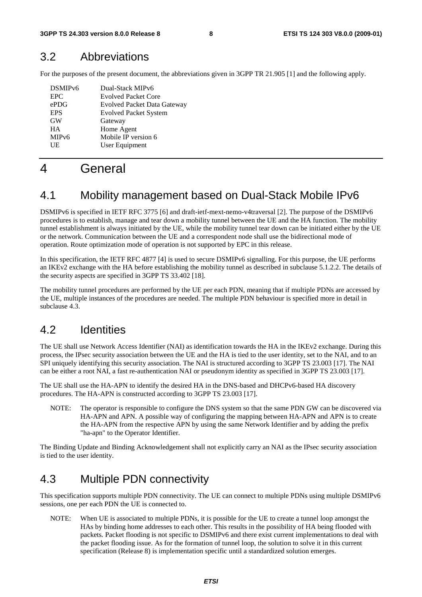### 3.2 Abbreviations

For the purposes of the present document, the abbreviations given in 3GPP TR 21.905 [1] and the following apply.

| DSMIP <sub>v6</sub> | Dual-Stack MIPv6                   |
|---------------------|------------------------------------|
| <b>EPC</b>          | <b>Evolved Packet Core</b>         |
| ePDG                | <b>Evolved Packet Data Gateway</b> |
| <b>EPS</b>          | <b>Evolved Packet System</b>       |
| <b>GW</b>           | Gateway                            |
| <b>HA</b>           | Home Agent                         |
| MIP <sub>v</sub> 6  | Mobile IP version 6                |
| UE                  | User Equipment                     |
|                     |                                    |

## 4 General

### 4.1 Mobility management based on Dual-Stack Mobile IPv6

DSMIPv6 is specified in IETF RFC 3775 [6] and draft-ietf-mext-nemo-v4traversal [2]. The purpose of the DSMIPv6 procedures is to establish, manage and tear down a mobility tunnel between the UE and the HA function. The mobility tunnel establishment is always initiated by the UE, while the mobility tunnel tear down can be initiated either by the UE or the network. Communication between the UE and a correspondent node shall use the bidirectional mode of operation. Route optimization mode of operation is not supported by EPC in this release.

In this specification, the IETF RFC 4877 [4] is used to secure DSMIPv6 signalling. For this purpose, the UE performs an IKEv2 exchange with the HA before establishing the mobility tunnel as described in subclause 5.1.2.2. The details of the security aspects are specified in 3GPP TS 33.402 [18].

The mobility tunnel procedures are performed by the UE per each PDN, meaning that if multiple PDNs are accessed by the UE, multiple instances of the procedures are needed. The multiple PDN behaviour is specified more in detail in subclause 4.3.

### 4.2 Identities

The UE shall use Network Access Identifier (NAI) as identification towards the HA in the IKEv2 exchange. During this process, the IPsec security association between the UE and the HA is tied to the user identity, set to the NAI, and to an SPI uniquely identifying this security association. The NAI is structured according to 3GPP TS 23.003 [17]. The NAI can be either a root NAI, a fast re-authentication NAI or pseudonym identity as specified in 3GPP TS 23.003 [17].

The UE shall use the HA-APN to identify the desired HA in the DNS-based and DHCPv6-based HA discovery procedures. The HA-APN is constructed according to 3GPP TS 23.003 [17].

NOTE: The operator is responsible to configure the DNS system so that the same PDN GW can be discovered via HA-APN and APN. A possible way of configuring the mapping between HA-APN and APN is to create the HA-APN from the respective APN by using the same Network Identifier and by adding the prefix "ha-apn" to the Operator Identifier.

The Binding Update and Binding Acknowledgement shall not explicitly carry an NAI as the IPsec security association is tied to the user identity.

## 4.3 Multiple PDN connectivity

This specification supports multiple PDN connectivity. The UE can connect to multiple PDNs using multiple DSMIPv6 sessions, one per each PDN the UE is connected to.

NOTE: When UE is associated to multiple PDNs, it is possible for the UE to create a tunnel loop amongst the HAs by binding home addresses to each other. This results in the possibility of HA being flooded with packets. Packet flooding is not specific to DSMIPv6 and there exist current implementations to deal with the packet flooding issue. As for the formation of tunnel loop, the solution to solve it in this current specification (Release 8) is implementation specific until a standardized solution emerges.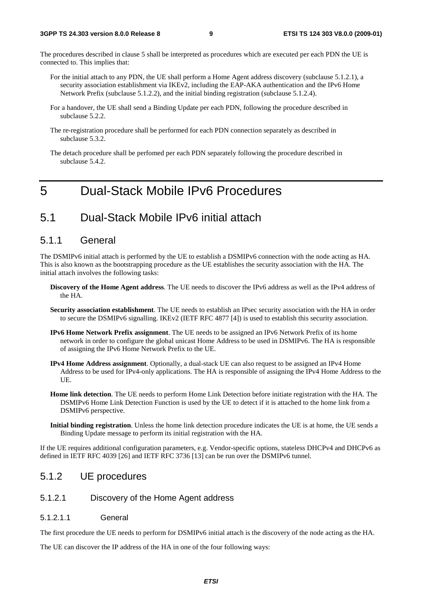The procedures described in clause 5 shall be interpreted as procedures which are executed per each PDN the UE is connected to. This implies that:

- For the initial attach to any PDN, the UE shall perform a Home Agent address discovery (subclause 5.1.2.1), a security association establishment via IKEv2, including the EAP-AKA authentication and the IPv6 Home Network Prefix (subclause 5.1.2.2), and the initial binding registration (subclause 5.1.2.4).
- For a handover, the UE shall send a Binding Update per each PDN, following the procedure described in subclause 5.2.2.
- The re-registration procedure shall be performed for each PDN connection separately as described in subclause 5.3.2.
- The detach procedure shall be perfomed per each PDN separately following the procedure described in subclause 5.4.2.

## 5 Dual-Stack Mobile IPv6 Procedures

### 5.1 Dual-Stack Mobile IPv6 initial attach

#### 5.1.1 General

The DSMIPv6 initial attach is performed by the UE to establish a DSMIPv6 connection with the node acting as HA. This is also known as the bootstrapping procedure as the UE establishes the security association with the HA. The initial attach involves the following tasks:

- **Discovery of the Home Agent address**. The UE needs to discover the IPv6 address as well as the IPv4 address of the HA.
- **Security association establishment**. The UE needs to establish an IPsec security association with the HA in order to secure the DSMIPv6 signalling. IKEv2 (IETF RFC 4877 [4]) is used to establish this security association.
- **IPv6 Home Network Prefix assignment**. The UE needs to be assigned an IPv6 Network Prefix of its home network in order to configure the global unicast Home Address to be used in DSMIPv6. The HA is responsible of assigning the IPv6 Home Network Prefix to the UE.
- **IPv4 Home Address assignment**. Optionally, a dual-stack UE can also request to be assigned an IPv4 Home Address to be used for IPv4-only applications. The HA is responsible of assigning the IPv4 Home Address to the UE.
- **Home link detection**. The UE needs to perform Home Link Detection before initiate registration with the HA. The DSMIPv6 Home Link Detection Function is used by the UE to detect if it is attached to the home link from a DSMIPv6 perspective.
- **Initial binding registration**. Unless the home link detection procedure indicates the UE is at home, the UE sends a Binding Update message to perform its initial registration with the HA.

If the UE requires additional configuration parameters, e.g. Vendor-specific options, stateless DHCPv4 and DHCPv6 as defined in IETF RFC 4039 [26] and IETF RFC 3736 [13] can be run over the DSMIPv6 tunnel.

### 5.1.2 UE procedures

- 5.1.2.1 Discovery of the Home Agent address
- 5.1.2.1.1 General

The first procedure the UE needs to perform for DSMIPv6 initial attach is the discovery of the node acting as the HA.

The UE can discover the IP address of the HA in one of the four following ways: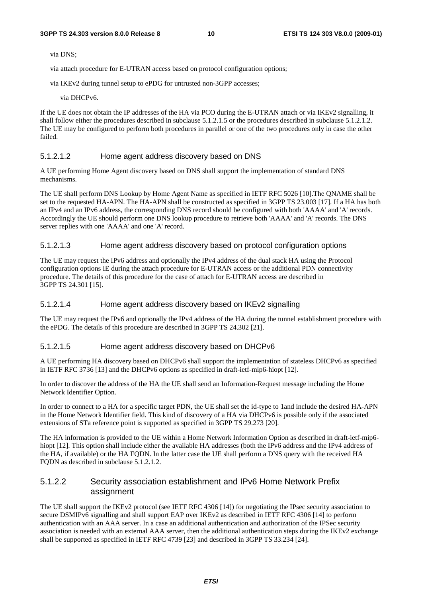via DNS;

via attach procedure for E-UTRAN access based on protocol configuration options;

via IKEv2 during tunnel setup to ePDG for untrusted non-3GPP accesses;

via DHCPv6.

If the UE does not obtain the IP addresses of the HA via PCO during the E-UTRAN attach or via IKEv2 signalling, it shall follow either the procedures described in subclause 5.1.2.1.5 or the procedures described in subclause 5.1.2.1.2. The UE may be configured to perform both procedures in parallel or one of the two procedures only in case the other failed.

#### 5.1.2.1.2 Home agent address discovery based on DNS

A UE performing Home Agent discovery based on DNS shall support the implementation of standard DNS mechanisms.

The UE shall perform DNS Lookup by Home Agent Name as specified in IETF RFC 5026 [10].The QNAME shall be set to the requested HA-APN. The HA-APN shall be constructed as specified in 3GPP TS 23.003 [17]. If a HA has both an IPv4 and an IPv6 address, the corresponding DNS record should be configured with both 'AAAA' and 'A' records. Accordingly the UE should perform one DNS lookup procedure to retrieve both 'AAAA' and 'A' records. The DNS server replies with one 'AAAA' and one 'A' record.

#### 5.1.2.1.3 Home agent address discovery based on protocol configuration options

The UE may request the IPv6 address and optionally the IPv4 address of the dual stack HA using the Protocol configuration options IE during the attach procedure for E-UTRAN access or the additional PDN connectivity procedure. The details of this procedure for the case of attach for E-UTRAN access are described in 3GPP TS 24.301 [15].

#### 5.1.2.1.4 Home agent address discovery based on IKEv2 signalling

The UE may request the IPv6 and optionally the IPv4 address of the HA during the tunnel establishment procedure with the ePDG. The details of this procedure are described in 3GPP TS 24.302 [21].

#### 5.1.2.1.5 Home agent address discovery based on DHCPv6

A UE performing HA discovery based on DHCPv6 shall support the implementation of stateless DHCPv6 as specified in IETF RFC 3736 [13] and the DHCPv6 options as specified in draft-ietf-mip6-hiopt [12].

In order to discover the address of the HA the UE shall send an Information-Request message including the Home Network Identifier Option.

In order to connect to a HA for a specific target PDN, the UE shall set the id-type to 1and include the desired HA-APN in the Home Network Identifier field. This kind of discovery of a HA via DHCPv6 is possible only if the associated extensions of STa reference point is supported as specified in 3GPP TS 29.273 [20].

The HA information is provided to the UE within a Home Network Information Option as described in draft-ietf-mip6 hiopt [12]. This option shall include either the available HA addresses (both the IPv6 address and the IPv4 address of the HA, if available) or the HA FQDN. In the latter case the UE shall perform a DNS query with the received HA FQDN as described in subclause 5.1.2.1.2.

#### 5.1.2.2 Security association establishment and IPv6 Home Network Prefix assignment

The UE shall support the IKEv2 protocol (see IETF RFC 4306 [14]) for negotiating the IPsec security association to secure DSMIPv6 signalling and shall support EAP over IKEv2 as described in IETF RFC 4306 [14] to perform authentication with an AAA server. In a case an additional authentication and authorization of the IPSec security association is needed with an external AAA server, then the additional authentication steps during the IKEv2 exchange shall be supported as specified in IETF RFC 4739 [23] and described in 3GPP TS 33.234 [24].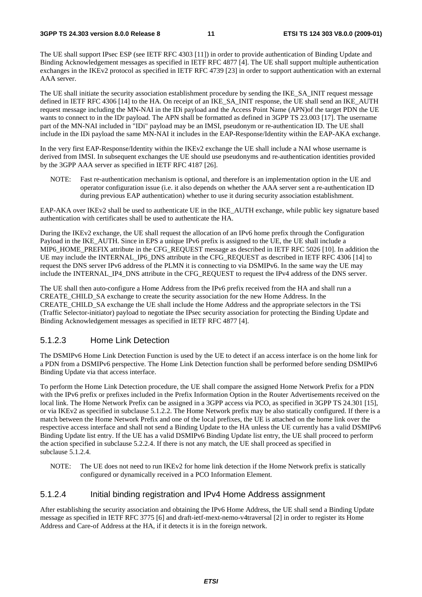The UE shall support IPsec ESP (see IETF RFC 4303 [11]) in order to provide authentication of Binding Update and Binding Acknowledgement messages as specified in IETF RFC 4877 [4]. The UE shall support multiple authentication exchanges in the IKEv2 protocol as specified in IETF RFC 4739 [23] in order to support authentication with an external AAA server.

The UE shall initiate the security association establishment procedure by sending the IKE\_SA\_INIT request message defined in IETF RFC 4306 [14] to the HA. On receipt of an IKE\_SA\_INIT response, the UE shall send an IKE\_AUTH request message including the MN-NAI in the IDi payload and the Access Point Name (APN)of the target PDN the UE wants to connect to in the IDr payload. The APN shall be formatted as defined in 3GPP TS 23.003 [17]. The username part of the MN-NAI included in "IDi" payload may be an IMSI, pseudonym or re-authentication ID. The UE shall include in the IDi payload the same MN-NAI it includes in the EAP-Response/Identity within the EAP-AKA exchange.

In the very first EAP-Response/Identity within the IKEv2 exchange the UE shall include a NAI whose username is derived from IMSI. In subsequent exchanges the UE should use pseudonyms and re-authentication identities provided by the 3GPP AAA server as specified in IETF RFC 4187 [26].

NOTE: Fast re-authentication mechanism is optional, and therefore is an implementation option in the UE and operator configuration issue (i.e. it also depends on whether the AAA server sent a re-authentication ID during previous EAP authentication) whether to use it during security association establishment.

EAP-AKA over IKEv2 shall be used to authenticate UE in the IKE\_AUTH exchange, while public key signature based authentication with certificates shall be used to authenticate the HA.

During the IKEv2 exchange, the UE shall request the allocation of an IPv6 home prefix through the Configuration Payload in the IKE\_AUTH. Since in EPS a unique IPv6 prefix is assigned to the UE, the UE shall include a MIP6\_HOME\_PREFIX attribute in the CFG\_REQUEST message as described in IETF RFC 5026 [10]. In addition the UE may include the INTERNAL\_IP6\_DNS attribute in the CFG\_REQUEST as described in IETF RFC 4306 [14] to request the DNS server IPv6 address of the PLMN it is connecting to via DSMIPv6. In the same way the UE may include the INTERNAL\_IP4\_DNS attribute in the CFG\_REQUEST to request the IPv4 address of the DNS server.

The UE shall then auto-configure a Home Address from the IPv6 prefix received from the HA and shall run a CREATE\_CHILD\_SA exchange to create the security association for the new Home Address. In the CREATE\_CHILD\_SA exchange the UE shall include the Home Address and the appropriate selectors in the TSi (Traffic Selector-initiator) payload to negotiate the IPsec security association for protecting the Binding Update and Binding Acknowledgement messages as specified in IETF RFC 4877 [4].

#### 5.1.2.3 Home Link Detection

The DSMIPv6 Home Link Detection Function is used by the UE to detect if an access interface is on the home link for a PDN from a DSMIPv6 perspective. The Home Link Detection function shall be performed before sending DSMIPv6 Binding Update via that access interface.

To perform the Home Link Detection procedure, the UE shall compare the assigned Home Network Prefix for a PDN with the IPv6 prefix or prefixes included in the Prefix Information Option in the Router Advertisements received on the local link. The Home Network Prefix can be assigned in a 3GPP access via PCO, as specified in 3GPP TS 24.301 [15], or via IKEv2 as specified in subclause 5.1.2.2. The Home Network prefix may be also statically configured. If there is a match between the Home Network Prefix and one of the local prefixes, the UE is attached on the home link over the respective access interface and shall not send a Binding Update to the HA unless the UE currently has a valid DSMIPv6 Binding Update list entry. If the UE has a valid DSMIPv6 Binding Update list entry, the UE shall proceed to perform the action specified in subclause 5.2.2.4. If there is not any match, the UE shall proceed as specified in subclause 5.1.2.4.

NOTE: The UE does not need to run IKEv2 for home link detection if the Home Network prefix is statically configured or dynamically received in a PCO Information Element.

#### 5.1.2.4 Initial binding registration and IPv4 Home Address assignment

After establishing the security association and obtaining the IPv6 Home Address, the UE shall send a Binding Update message as specified in IETF RFC 3775 [6] and draft-ietf-mext-nemo-v4traversal [2] in order to register its Home Address and Care-of Address at the HA, if it detects it is in the foreign network.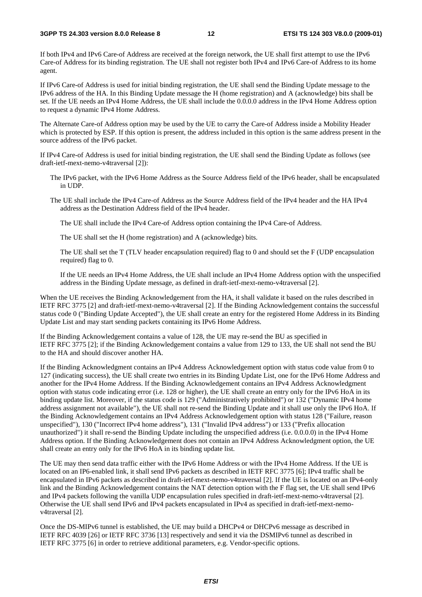If both IPv4 and IPv6 Care-of Address are received at the foreign network, the UE shall first attempt to use the IPv6 Care-of Address for its binding registration. The UE shall not register both IPv4 and IPv6 Care-of Address to its home agent.

If IPv6 Care-of Address is used for initial binding registration, the UE shall send the Binding Update message to the IPv6 address of the HA. In this Binding Update message the H (home registration) and A (acknowledge) bits shall be set. If the UE needs an IPv4 Home Address, the UE shall include the 0.0.0.0 address in the IPv4 Home Address option to request a dynamic IPv4 Home Address.

The Alternate Care-of Address option may be used by the UE to carry the Care-of Address inside a Mobility Header which is protected by ESP. If this option is present, the address included in this option is the same address present in the source address of the IPv6 packet.

If IPv4 Care-of Address is used for initial binding registration, the UE shall send the Binding Update as follows (see draft-ietf-mext-nemo-v4traversal [2]):

The IPv6 packet, with the IPv6 Home Address as the Source Address field of the IPv6 header, shall be encapsulated in UDP.

The UE shall include the IPv4 Care-of Address as the Source Address field of the IPv4 header and the HA IPv4 address as the Destination Address field of the IPv4 header.

The UE shall include the IPv4 Care-of Address option containing the IPv4 Care-of Address.

The UE shall set the H (home registration) and A (acknowledge) bits.

 The UE shall set the T (TLV header encapsulation required) flag to 0 and should set the F (UDP encapsulation required) flag to 0.

 If the UE needs an IPv4 Home Address, the UE shall include an IPv4 Home Address option with the unspecified address in the Binding Update message, as defined in draft-ietf-mext-nemo-v4traversal [2].

When the UE receives the Binding Acknowledgement from the HA, it shall validate it based on the rules described in IETF RFC 3775 [2] and draft-ietf-mext-nemo-v4traversal [2]. If the Binding Acknowledgement contains the successful status code 0 ("Binding Update Accepted"), the UE shall create an entry for the registered Home Address in its Binding Update List and may start sending packets containing its IPv6 Home Address.

If the Binding Acknowledgement contains a value of 128, the UE may re-send the BU as specified in IETF RFC 3775 [2]; if the Binding Acknowledgement contains a value from 129 to 133, the UE shall not send the BU to the HA and should discover another HA.

If the Binding Acknowledgment contains an IPv4 Address Acknowledgement option with status code value from 0 to 127 (indicating success), the UE shall create two entries in its Binding Update List, one for the IPv6 Home Address and another for the IPv4 Home Address. If the Binding Acknowledgement contains an IPv4 Address Acknowledgment option with status code indicating error (i.e. 128 or higher), the UE shall create an entry only for the IPv6 HoA in its binding update list. Moreover, if the status code is 129 ("Administratively prohibited") or 132 ("Dynamic IPv4 home address assignment not available"), the UE shall not re-send the Binding Update and it shall use only the IPv6 HoA. If the Binding Acknowledgement contains an IPv4 Address Acknowledgement option with status 128 ("Failure, reason unspecified"), 130 ("Incorrect IPv4 home address"), 131 ("Invalid IPv4 address") or 133 ("Prefix allocation unauthorized") it shall re-send the Binding Update including the unspecified address (i.e. 0.0.0.0) in the IPv4 Home Address option. If the Binding Acknowledgement does not contain an IPv4 Address Acknowledgment option, the UE shall create an entry only for the IPv6 HoA in its binding update list.

The UE may then send data traffic either with the IPv6 Home Address or with the IPv4 Home Address. If the UE is located on an IP6-enabled link, it shall send IPv6 packets as described in IETF RFC 3775 [6]; IPv4 traffic shall be encapsulated in IPv6 packets as described in draft-ietf-mext-nemo-v4traversal [2]. If the UE is located on an IPv4-only link and the Binding Acknowledgement contains the NAT detection option with the F flag set, the UE shall send IPv6 and IPv4 packets following the vanilla UDP encapsulation rules specified in draft-ietf-mext-nemo-v4traversal [2]. Otherwise the UE shall send IPv6 and IPv4 packets encapsulated in IPv4 as specified in draft-ietf-mext-nemov4traversal [2].

Once the DS-MIPv6 tunnel is established, the UE may build a DHCPv4 or DHCPv6 message as described in IETF RFC 4039 [26] or IETF RFC 3736 [13] respectively and send it via the DSMIPv6 tunnel as described in IETF RFC 3775 [6] in order to retrieve additional parameters, e.g. Vendor-specific options.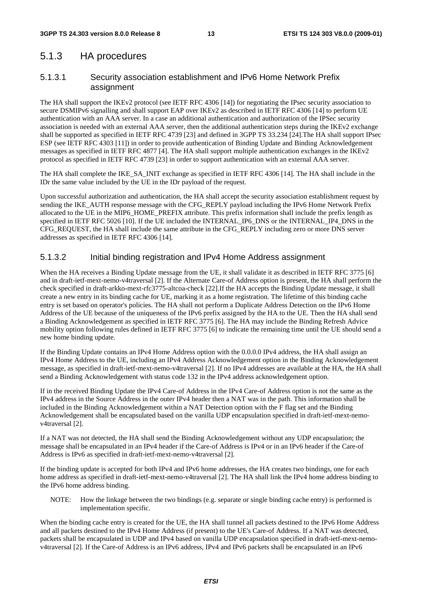### 5.1.3 HA procedures

### 5.1.3.1 Security association establishment and IPv6 Home Network Prefix assignment

The HA shall support the IKEv2 protocol (see IETF RFC 4306 [14]) for negotiating the IPsec security association to secure DSMIPv6 signalling and shall support EAP over IKEv2 as described in IETF RFC 4306 [14] to perform UE authentication with an AAA server. In a case an additional authentication and authorization of the IPSec security association is needed with an external AAA server, then the additional authentication steps during the IKEv2 exchange shall be supported as specified in IETF RFC 4739 [23] and defined in 3GPP TS 33.234 [24].The HA shall support IPsec ESP (see IETF RFC 4303 [11]) in order to provide authentication of Binding Update and Binding Acknowledgement messages as specified in IETF RFC 4877 [4]. The HA shall support multiple authentication exchanges in the IKEv2 protocol as specified in IETF RFC 4739 [23] in order to support authentication with an external AAA server.

The HA shall complete the IKE\_SA\_INIT exchange as specified in IETF RFC 4306 [14]. The HA shall include in the IDr the same value included by the UE in the IDr payload of the request.

Upon successful authorization and authentication, the HA shall accept the security association establishment request by sending the IKE\_AUTH response message with the CFG\_REPLY payload including the IPv6 Home Network Prefix allocated to the UE in the MIP6\_HOME\_PREFIX attribute. This prefix information shall include the prefix length as specified in IETF RFC 5026 [10]. If the UE included the INTERNAL\_IP6\_DNS or the INTERNAL\_IP4\_DNS in the CFG\_REQUEST, the HA shall include the same attribute in the CFG\_REPLY including zero or more DNS server addresses as specified in IETF RFC 4306 [14].

#### 5.1.3.2 Initial binding registration and IPv4 Home Address assignment

When the HA receives a Binding Update message from the UE, it shall validate it as described in IETF RFC 3775 [6] and in draft-ietf-mext-nemo-v4traversal [2]. If the Alternate Care-of Address option is present, the HA shall perform the check specified in draft-arkko-mext-rfc3775-altcoa-check [22].If the HA accepts the Binding Update message, it shall create a new entry in its binding cache for UE, marking it as a home registration. The lifetime of this binding cache entry is set based on operator's policies. The HA shall not perform a Duplicate Address Detection on the IPv6 Home Address of the UE because of the uniqueness of the IPv6 prefix assigned by the HA to the UE. Then the HA shall send a Binding Acknowledgement as specified in IETF RFC 3775 [6]. The HA may include the Binding Refresh Advice mobility option following rules defined in IETF RFC 3775 [6] to indicate the remaining time until the UE should send a new home binding update.

If the Binding Update contains an IPv4 Home Address option with the 0.0.0.0 IPv4 address, the HA shall assign an IPv4 Home Address to the UE, including an IPv4 Address Acknowledgement option in the Binding Acknowledgement message, as specified in draft-ietf-mext-nemo-v4traversal [2]. If no IPv4 addresses are available at the HA, the HA shall send a Binding Acknowledgement with status code 132 in the IPv4 address acknowledgement option.

If in the received Binding Update the IPv4 Care-of Address in the IPv4 Care-of Address option is not the same as the IPv4 address in the Source Address in the outer IPv4 header then a NAT was in the path. This information shall be included in the Binding Acknowledgement within a NAT Detection option with the F flag set and the Binding Acknowledgement shall be encapsulated based on the vanilla UDP encapsulation specified in draft-ietf-mext-nemov4traversal [2].

If a NAT was not detected, the HA shall send the Binding Acknowledgement without any UDP encapsulation; the message shall be encapsulated in an IPv4 header if the Care-of Address is IPv4 or in an IPv6 header if the Care-of Address is IPv6 as specified in draft-ietf-mext-nemo-v4traversal [2].

If the binding update is accepted for both IPv4 and IPv6 home addresses, the HA creates two bindings, one for each home address as specified in draft-ietf-mext-nemo-v4traversal [2]. The HA shall link the IPv4 home address binding to the IPv6 home address binding.

NOTE: How the linkage between the two bindings (e.g. separate or single binding cache entry) is performed is implementation specific.

When the binding cache entry is created for the UE, the HA shall tunnel all packets destined to the IPv6 Home Address and all packets destined to the IPv4 Home Address (if present) to the UE's Care-of Address. If a NAT was detected, packets shall be encapsulated in UDP and IPv4 based on vanilla UDP encapsulation specified in draft-ietf-mext-nemov4traversal [2]. If the Care-of Address is an IPv6 address, IPv4 and IPv6 packets shall be encapsulated in an IPv6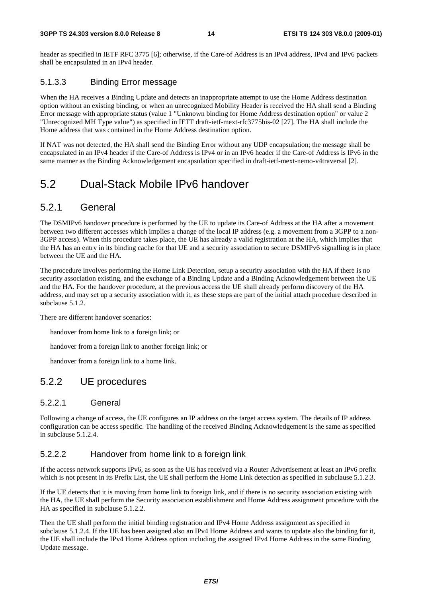#### **3GPP TS 24.303 version 8.0.0 Release 8 14 ETSI TS 124 303 V8.0.0 (2009-01)**

header as specified in IETF RFC 3775 [6]; otherwise, if the Care-of Address is an IPv4 address, IPv4 and IPv6 packets shall be encapsulated in an IPv4 header.

#### 5.1.3.3 Binding Error message

When the HA receives a Binding Update and detects an inappropriate attempt to use the Home Address destination option without an existing binding, or when an unrecognized Mobility Header is received the HA shall send a Binding Error message with appropriate status (value 1 "Unknown binding for Home Address destination option" or value 2 "Unrecognized MH Type value") as specified in IETF draft-ietf-mext-rfc3775bis-02 [27]. The HA shall include the Home address that was contained in the Home Address destination option.

If NAT was not detected, the HA shall send the Binding Error without any UDP encapsulation; the message shall be encapsulated in an IPv4 header if the Care-of Address is IPv4 or in an IPv6 header if the Care-of Address is IPv6 in the same manner as the Binding Acknowledgement encapsulation specified in draft-ietf-mext-nemo-v4traversal [2].

### 5.2 Dual-Stack Mobile IPv6 handover

### 5.2.1 General

The DSMIPv6 handover procedure is performed by the UE to update its Care-of Address at the HA after a movement between two different accesses which implies a change of the local IP address (e.g. a movement from a 3GPP to a non-3GPP access). When this procedure takes place, the UE has already a valid registration at the HA, which implies that the HA has an entry in its binding cache for that UE and a security association to secure DSMIPv6 signalling is in place between the UE and the HA.

The procedure involves performing the Home Link Detection, setup a security association with the HA if there is no security association existing, and the exchange of a Binding Update and a Binding Acknowledgement between the UE and the HA. For the handover procedure, at the previous access the UE shall already perform discovery of the HA address, and may set up a security association with it, as these steps are part of the initial attach procedure described in subclause 5.1.2.

There are different handover scenarios:

handover from home link to a foreign link; or

handover from a foreign link to another foreign link; or

handover from a foreign link to a home link.

### 5.2.2 UE procedures

#### 5.2.2.1 General

Following a change of access, the UE configures an IP address on the target access system. The details of IP address configuration can be access specific. The handling of the received Binding Acknowledgement is the same as specified in subclause 5.1.2.4.

### 5.2.2.2 Handover from home link to a foreign link

If the access network supports IPv6, as soon as the UE has received via a Router Advertisement at least an IPv6 prefix which is not present in its Prefix List, the UE shall perform the Home Link detection as specified in subclause 5.1.2.3.

If the UE detects that it is moving from home link to foreign link, and if there is no security association existing with the HA, the UE shall perform the Security association establishment and Home Address assignment procedure with the HA as specified in subclause 5.1.2.2.

Then the UE shall perform the initial binding registration and IPv4 Home Address assignment as specified in subclause 5.1.2.4. If the UE has been assigned also an IPv4 Home Address and wants to update also the binding for it, the UE shall include the IPv4 Home Address option including the assigned IPv4 Home Address in the same Binding Update message.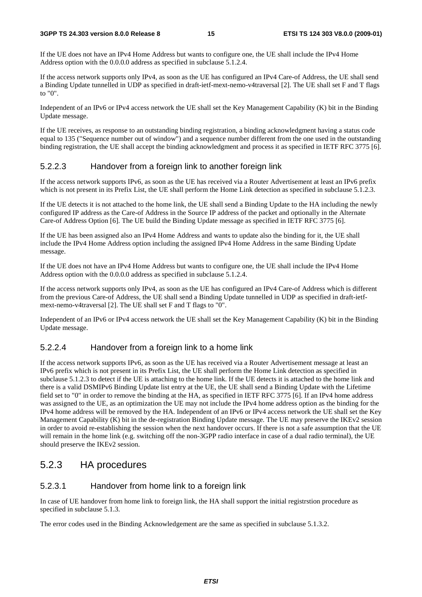#### **3GPP TS 24.303 version 8.0.0 Release 8 15 ETSI TS 124 303 V8.0.0 (2009-01)**

If the UE does not have an IPv4 Home Address but wants to configure one, the UE shall include the IPv4 Home Address option with the 0.0.0.0 address as specified in subclause 5.1.2.4.

If the access network supports only IPv4, as soon as the UE has configured an IPv4 Care-of Address, the UE shall send a Binding Update tunnelled in UDP as specified in draft-ietf-mext-nemo-v4traversal [2]. The UE shall set F and T flags to "0".

Independent of an IPv6 or IPv4 access network the UE shall set the Key Management Capability (K) bit in the Binding Update message.

If the UE receives, as response to an outstanding binding registration, a binding acknowledgment having a status code equal to 135 ("Sequence number out of window") and a sequence number different from the one used in the outstanding binding registration, the UE shall accept the binding acknowledgment and process it as specified in IETF RFC 3775 [6].

### 5.2.2.3 Handover from a foreign link to another foreign link

If the access network supports IPv6, as soon as the UE has received via a Router Advertisement at least an IPv6 prefix which is not present in its Prefix List, the UE shall perform the Home Link detection as specified in subclause 5.1.2.3.

If the UE detects it is not attached to the home link, the UE shall send a Binding Update to the HA including the newly configured IP address as the Care-of Address in the Source IP address of the packet and optionally in the Alternate Care-of Address Option [6]. The UE build the Binding Update message as specified in IETF RFC 3775 [6].

If the UE has been assigned also an IPv4 Home Address and wants to update also the binding for it, the UE shall include the IPv4 Home Address option including the assigned IPv4 Home Address in the same Binding Update message.

If the UE does not have an IPv4 Home Address but wants to configure one, the UE shall include the IPv4 Home Address option with the 0.0.0.0 address as specified in subclause 5.1.2.4.

If the access network supports only IPv4, as soon as the UE has configured an IPv4 Care-of Address which is different from the previous Care-of Address, the UE shall send a Binding Update tunnelled in UDP as specified in draft-ietfmext-nemo-v4traversal [2]. The UE shall set F and T flags to "0".

Independent of an IPv6 or IPv4 access network the UE shall set the Key Management Capability (K) bit in the Binding Update message.

### 5.2.2.4 Handover from a foreign link to a home link

If the access network supports IPv6, as soon as the UE has received via a Router Advertisement message at least an IPv6 prefix which is not present in its Prefix List, the UE shall perform the Home Link detection as specified in subclause 5.1.2.3 to detect if the UE is attaching to the home link. If the UE detects it is attached to the home link and there is a valid DSMIPv6 Binding Update list entry at the UE, the UE shall send a Binding Update with the Lifetime field set to "0" in order to remove the binding at the HA, as specified in IETF RFC 3775 [6]. If an IPv4 home address was assigned to the UE, as an optimization the UE may not include the IPv4 home address option as the binding for the IPv4 home address will be removed by the HA. Independent of an IPv6 or IPv4 access network the UE shall set the Key Management Capability (K) bit in the de-registration Binding Update message. The UE may preserve the IKEv2 session in order to avoid re-establishing the session when the next handover occurs. If there is not a safe assumption that the UE will remain in the home link (e.g. switching off the non-3GPP radio interface in case of a dual radio terminal), the UE should preserve the IKEv2 session.

### 5.2.3 HA procedures

### 5.2.3.1 Handover from home link to a foreign link

In case of UE handover from home link to foreign link, the HA shall support the initial registrstion procedure as specified in subclause 5.1.3.

The error codes used in the Binding Acknowledgement are the same as specified in subclause 5.1.3.2.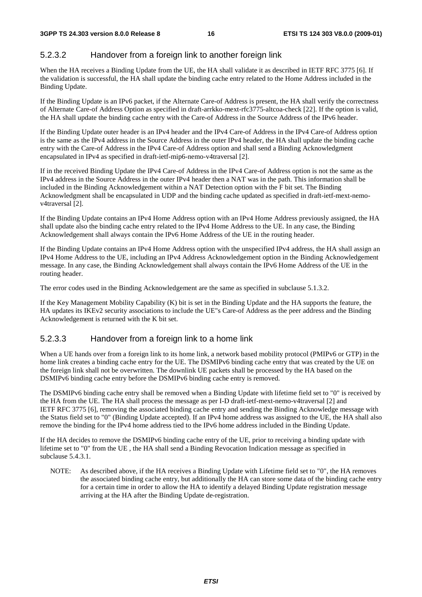### 5.2.3.2 Handover from a foreign link to another foreign link

When the HA receives a Binding Update from the UE, the HA shall validate it as described in IETF RFC 3775 [6]. If the validation is successful, the HA shall update the binding cache entry related to the Home Address included in the Binding Update.

If the Binding Update is an IPv6 packet, if the Alternate Care-of Address is present, the HA shall verify the correctness of Alternate Care-of Address Option as specified in draft-arrkko-mext-rfc3775-altcoa-check [22]. If the option is valid, the HA shall update the binding cache entry with the Care-of Address in the Source Address of the IPv6 header.

If the Binding Update outer header is an IPv4 header and the IPv4 Care-of Address in the IPv4 Care-of Address option is the same as the IPv4 address in the Source Address in the outer IPv4 header, the HA shall update the binding cache entry with the Care-of Address in the IPv4 Care-of Address option and shall send a Binding Acknowledgment encapsulated in IPv4 as specified in draft-ietf-mip6-nemo-v4traversal [2].

If in the received Binding Update the IPv4 Care-of Address in the IPv4 Care-of Address option is not the same as the IPv4 address in the Source Address in the outer IPv4 header then a NAT was in the path. This information shall be included in the Binding Acknowledgement within a NAT Detection option with the F bit set. The Binding Acknowledgment shall be encapsulated in UDP and the binding cache updated as specified in draft-ietf-mext-nemov4traversal [2].

If the Binding Update contains an IPv4 Home Address option with an IPv4 Home Address previously assigned, the HA shall update also the binding cache entry related to the IPv4 Home Address to the UE. In any case, the Binding Acknowledgement shall always contain the IPv6 Home Address of the UE in the routing header.

If the Binding Update contains an IPv4 Home Address option with the unspecified IPv4 address, the HA shall assign an IPv4 Home Address to the UE, including an IPv4 Address Acknowledgement option in the Binding Acknowledgement message. In any case, the Binding Acknowledgement shall always contain the IPv6 Home Address of the UE in the routing header.

The error codes used in the Binding Acknowledgement are the same as specified in subclause 5.1.3.2.

If the Key Management Mobility Capability (K) bit is set in the Binding Update and the HA supports the feature, the HA updates its IKEv2 security associations to include the UE"s Care-of Address as the peer address and the Binding Acknowledgement is returned with the K bit set.

#### 5.2.3.3 Handover from a foreign link to a home link

When a UE hands over from a foreign link to its home link, a network based mobility protocol (PMIPv6 or GTP) in the home link creates a binding cache entry for the UE. The DSMIPv6 binding cache entry that was created by the UE on the foreign link shall not be overwritten. The downlink UE packets shall be processed by the HA based on the DSMIPv6 binding cache entry before the DSMIPv6 binding cache entry is removed.

The DSMIPv6 binding cache entry shall be removed when a Binding Update with lifetime field set to "0" is received by the HA from the UE. The HA shall process the message as per I-D draft-ietf-mext-nemo-v4traversal [2] and IETF RFC 3775 [6], removing the associated binding cache entry and sending the Binding Acknowledge message with the Status field set to "0" (Binding Update accepted). If an IPv4 home address was assigned to the UE, the HA shall also remove the binding for the IPv4 home address tied to the IPv6 home address included in the Binding Update.

If the HA decides to remove the DSMIPv6 binding cache entry of the UE, prior to receiving a binding update with lifetime set to "0" from the UE , the HA shall send a Binding Revocation Indication message as specified in subclause 5.4.3.1.

NOTE: As described above, if the HA receives a Binding Update with Lifetime field set to "0", the HA removes the associated binding cache entry, but additionally the HA can store some data of the binding cache entry for a certain time in order to allow the HA to identify a delayed Binding Update registration message arriving at the HA after the Binding Update de-registration.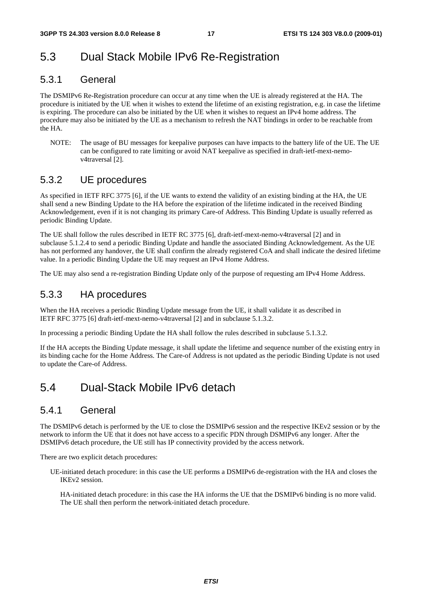### 5.3 Dual Stack Mobile IPv6 Re-Registration

### 5.3.1 General

The DSMIPv6 Re-Registration procedure can occur at any time when the UE is already registered at the HA. The procedure is initiated by the UE when it wishes to extend the lifetime of an existing registration, e.g. in case the lifetime is expiring. The procedure can also be initiated by the UE when it wishes to request an IPv4 home address. The procedure may also be initiated by the UE as a mechanism to refresh the NAT bindings in order to be reachable from the HA.

NOTE: The usage of BU messages for keepalive purposes can have impacts to the battery life of the UE. The UE can be configured to rate limiting or avoid NAT keepalive as specified in draft-ietf-mext-nemov4traversal [2].

### 5.3.2 UE procedures

As specified in IETF RFC 3775 [6], if the UE wants to extend the validity of an existing binding at the HA, the UE shall send a new Binding Update to the HA before the expiration of the lifetime indicated in the received Binding Acknowledgement, even if it is not changing its primary Care-of Address. This Binding Update is usually referred as periodic Binding Update.

The UE shall follow the rules described in IETF RC 3775 [6], draft-ietf-mext-nemo-v4traversal [2] and in subclause 5.1.2.4 to send a periodic Binding Update and handle the associated Binding Acknowledgement. As the UE has not performed any handover, the UE shall confirm the already registered CoA and shall indicate the desired lifetime value. In a periodic Binding Update the UE may request an IPv4 Home Address.

The UE may also send a re-registration Binding Update only of the purpose of requesting am IPv4 Home Address.

### 5.3.3 HA procedures

When the HA receives a periodic Binding Update message from the UE, it shall validate it as described in IETF RFC 3775 [6] draft-ietf-mext-nemo-v4traversal [2] and in subclause 5.1.3.2.

In processing a periodic Binding Update the HA shall follow the rules described in subclause 5.1.3.2.

If the HA accepts the Binding Update message, it shall update the lifetime and sequence number of the existing entry in its binding cache for the Home Address. The Care-of Address is not updated as the periodic Binding Update is not used to update the Care-of Address.

### 5.4 Dual-Stack Mobile IPv6 detach

### 5.4.1 General

The DSMIPv6 detach is performed by the UE to close the DSMIPv6 session and the respective IKEv2 session or by the network to inform the UE that it does not have access to a specific PDN through DSMIPv6 any longer. After the DSMIPv6 detach procedure, the UE still has IP connectivity provided by the access network.

There are two explicit detach procedures:

UE-initiated detach procedure: in this case the UE performs a DSMIPv6 de-registration with the HA and closes the IKEv2 session.

 HA-initiated detach procedure: in this case the HA informs the UE that the DSMIPv6 binding is no more valid. The UE shall then perform the network-initiated detach procedure.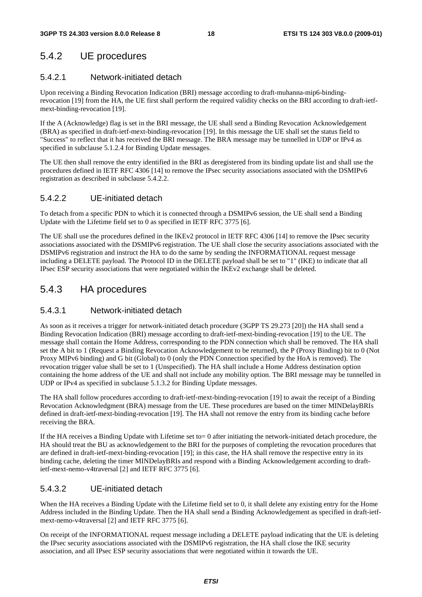### 5.4.2 UE procedures

### 5.4.2.1 Network-initiated detach

Upon receiving a Binding Revocation Indication (BRI) message according to draft-muhanna-mip6-bindingrevocation [19] from the HA, the UE first shall perform the required validity checks on the BRI according to draft-ietfmext-binding-revocation [19].

If the A (Acknowledge) flag is set in the BRI message, the UE shall send a Binding Revocation Acknowledgement (BRA) as specified in draft-ietf-mext-binding-revocation [19]. In this message the UE shall set the status field to "Success" to reflect that it has received the BRI message. The BRA message may be tunnelled in UDP or IPv4 as specified in subclause 5.1.2.4 for Binding Update messages.

The UE then shall remove the entry identified in the BRI as deregistered from its binding update list and shall use the procedures defined in IETF RFC 4306 [14] to remove the IPsec security associations associated with the DSMIPv6 registration as described in subclause 5.4.2.2.

#### 5.4.2.2 UE-initiated detach

To detach from a specific PDN to which it is connected through a DSMIPv6 session, the UE shall send a Binding Update with the Lifetime field set to 0 as specified in IETF RFC 3775 [6].

The UE shall use the procedures defined in the IKEv2 protocol in IETF RFC 4306 [14] to remove the IPsec security associations associated with the DSMIPv6 registration. The UE shall close the security associations associated with the DSMIPv6 registration and instruct the HA to do the same by sending the INFORMATIONAL request message including a DELETE payload. The Protocol ID in the DELETE payload shall be set to "1" (IKE) to indicate that all IPsec ESP security associations that were negotiated within the IKEv2 exchange shall be deleted.

### 5.4.3 HA procedures

#### 5.4.3.1 Network-initiated detach

As soon as it receives a trigger for network-initiated detach procedure (3GPP TS 29.273 [20]) the HA shall send a Binding Revocation Indication (BRI) message according to draft-ietf-mext-binding-revocation [19] to the UE. The message shall contain the Home Address, corresponding to the PDN connection which shall be removed. The HA shall set the A bit to 1 (Request a Binding Revocation Acknowledgement to be returned), the P (Proxy Binding) bit to 0 (Not Proxy MIPv6 binding) and G bit (Global) to 0 (only the PDN Connection specified by the HoA is removed). The revocation trigger value shall be set to 1 (Unspecified). The HA shall include a Home Address destination option containing the home address of the UE and shall not include any mobility option. The BRI message may be tunnelled in UDP or IPv4 as specified in subclause 5.1.3.2 for Binding Update messages.

The HA shall follow procedures according to draft-ietf-mext-binding-revocation [19] to await the receipt of a Binding Revocation Acknowledgment (BRA) message from the UE. These procedures are based on the timer MINDelayBRIs defined in draft-ietf-mext-binding-revocation [19]. The HA shall not remove the entry from its binding cache before receiving the BRA.

If the HA receives a Binding Update with Lifetime set to= 0 after initiating the network-initiated detach procedure, the HA should treat the BU as acknowledgement to the BRI for the purposes of completing the revocation procedures that are defined in draft-ietf-mext-binding-revocation [19]; in this case, the HA shall remove the respective entry in its binding cache, deleting the timer MINDelayBRIs and respond with a Binding Acknowledgement according to draftietf-mext-nemo-v4traversal [2] and IETF RFC 3775 [6].

### 5.4.3.2 UE-initiated detach

When the HA receives a Binding Update with the Lifetime field set to 0, it shall delete any existing entry for the Home Address included in the Binding Update. Then the HA shall send a Binding Acknowledgement as specified in draft-ietfmext-nemo-v4traversal [2] and IETF RFC 3775 [6].

On receipt of the INFORMATIONAL request message including a DELETE payload indicating that the UE is deleting the IPsec security associations associated with the DSMIPv6 registration, the HA shall close the IKE security association, and all IPsec ESP security associations that were negotiated within it towards the UE.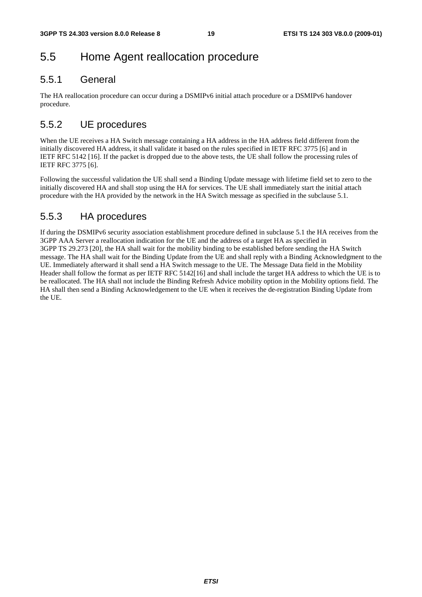## 5.5 Home Agent reallocation procedure

### 5.5.1 General

The HA reallocation procedure can occur during a DSMIPv6 initial attach procedure or a DSMIPv6 handover procedure.

### 5.5.2 UE procedures

When the UE receives a HA Switch message containing a HA address in the HA address field different from the initially discovered HA address, it shall validate it based on the rules specified in IETF RFC 3775 [6] and in IETF RFC 5142 [16]. If the packet is dropped due to the above tests, the UE shall follow the processing rules of IETF RFC 3775 [6].

Following the successful validation the UE shall send a Binding Update message with lifetime field set to zero to the initially discovered HA and shall stop using the HA for services. The UE shall immediately start the initial attach procedure with the HA provided by the network in the HA Switch message as specified in the subclause 5.1.

### 5.5.3 HA procedures

If during the DSMIPv6 security association establishment procedure defined in subclause 5.1 the HA receives from the 3GPP AAA Server a reallocation indication for the UE and the address of a target HA as specified in 3GPP TS 29.273 [20], the HA shall wait for the mobility binding to be established before sending the HA Switch message. The HA shall wait for the Binding Update from the UE and shall reply with a Binding Acknowledgment to the UE. Immediately afterward it shall send a HA Switch message to the UE. The Message Data field in the Mobility Header shall follow the format as per IETF RFC 5142[16] and shall include the target HA address to which the UE is to be reallocated. The HA shall not include the Binding Refresh Advice mobility option in the Mobility options field. The HA shall then send a Binding Acknowledgement to the UE when it receives the de-registration Binding Update from the UE.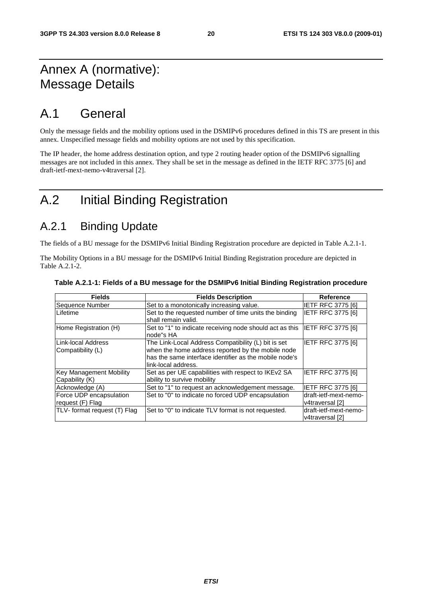## Annex A (normative): Message Details

## A.1 General

Only the message fields and the mobility options used in the DSMIPv6 procedures defined in this TS are present in this annex. Unspecified message fields and mobility options are not used by this specification.

The IP header, the home address destination option, and type 2 routing header option of the DSMIPv6 signalling messages are not included in this annex. They shall be set in the message as defined in the IETF RFC 3775 [6] and draft-ietf-mext-nemo-v4traversal [2].

## A.2 Initial Binding Registration

## A.2.1 Binding Update

The fields of a BU message for the DSMIPv6 Initial Binding Registration procedure are depicted in Table A.2.1-1.

The Mobility Options in a BU message for the DSMIPv6 Initial Binding Registration procedure are depicted in Table A.2.1-2.

| <b>Fields</b>                                    | <b>Fields Description</b>                                                                                                                                                                 | <b>Reference</b>                         |
|--------------------------------------------------|-------------------------------------------------------------------------------------------------------------------------------------------------------------------------------------------|------------------------------------------|
| Sequence Number                                  | Set to a monotonically increasing value.                                                                                                                                                  | <b>IETF RFC 3775 [6]</b>                 |
| Lifetime                                         | Set to the requested number of time units the binding<br>shall remain valid.                                                                                                              | <b>IETF RFC 3775 [6]</b>                 |
| Home Registration (H)                            | Set to "1" to indicate receiving node should act as this<br>node"s HA                                                                                                                     | <b>IETF RFC 3775 [6]</b>                 |
| Link-local Address<br>Compatibility (L)          | The Link-Local Address Compatibility (L) bit is set<br>when the home address reported by the mobile node<br>has the same interface identifier as the mobile node's<br>link-local address. | <b>IETF RFC 3775 [6]</b>                 |
| <b>Key Management Mobility</b><br>Capability (K) | Set as per UE capabilities with respect to IKEv2 SA<br>ability to survive mobility                                                                                                        | <b>IETF RFC 3775 [6]</b>                 |
| Acknowledge (A)                                  | Set to "1" to request an acknowledgement message.                                                                                                                                         | <b>IETF RFC 3775 [6]</b>                 |
| Force UDP encapsulation<br>request (F) Flag      | Set to "0" to indicate no forced UDP encapsulation                                                                                                                                        | draft-ietf-mext-nemo-<br>v4traversal [2] |
| TLV- format request (T) Flag                     | Set to "0" to indicate TLV format is not requested.                                                                                                                                       | draft-ietf-mext-nemo-<br>v4traversal [2] |

#### **Table A.2.1-1: Fields of a BU message for the DSMIPv6 Initial Binding Registration procedure**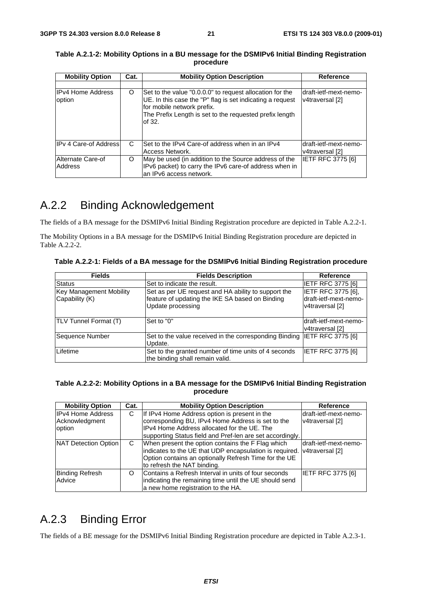| <b>Mobility Option</b>             | Cat. | <b>Mobility Option Description</b>                                                                                                                                                                                       | <b>Reference</b>                          |
|------------------------------------|------|--------------------------------------------------------------------------------------------------------------------------------------------------------------------------------------------------------------------------|-------------------------------------------|
|                                    |      |                                                                                                                                                                                                                          |                                           |
| <b>IPv4 Home Address</b><br>option | O    | Set to the value "0.0.0.0" to request allocation for the<br>UE. In this case the "P" flag is set indicating a request<br>for mobile network prefix.<br>The Prefix Length is set to the requested prefix length<br>of 32. | draft-ietf-mext-nemo-<br>v4traversal [2]  |
| <b>IPv 4 Care-of Address</b>       | C    | Set to the IPv4 Care-of address when in an IPv4<br>Access Network.                                                                                                                                                       | Idraft-ietf-mext-nemo-<br>v4traversal [2] |
| Alternate Care-of<br>Address       | O    | May be used (in addition to the Source address of the<br>IPv6 packet) to carry the IPv6 care-of address when in<br>an IPv6 access network.                                                                               | <b>IETF RFC 3775 [6]</b>                  |

**Table A.2.1-2: Mobility Options in a BU message for the DSMIPv6 Initial Binding Registration procedure** 

## A.2.2 Binding Acknowledgement

The fields of a BA message for the DSMIPv6 Initial Binding Registration procedure are depicted in Table A.2.2-1.

The Mobility Options in a BA message for the DSMIPv6 Initial Binding Registration procedure are depicted in Table A.2.2-2.

| Table A.2.2-1: Fields of a BA message for the DSMIPv6 Initial Binding Registration procedure |  |
|----------------------------------------------------------------------------------------------|--|
|----------------------------------------------------------------------------------------------|--|

| <b>Fields</b>                  | <b>Fields Description</b>                              | <b>Reference</b>          |
|--------------------------------|--------------------------------------------------------|---------------------------|
| Status                         | Set to indicate the result.                            | <b>IETF RFC 3775 [6]</b>  |
| <b>Key Management Mobility</b> | Set as per UE request and HA ability to support the    | <b>IETF RFC 3775 [6],</b> |
| Capability (K)                 | feature of updating the IKE SA based on Binding        | draft-ietf-mext-nemo-     |
|                                | Update processing                                      | v4traversal [2]           |
|                                |                                                        |                           |
| TLV Tunnel Format (T)          | Set to "0"                                             | draft-ietf-mext-nemo-     |
|                                |                                                        | v4traversal [2]           |
| Sequence Number                | Set to the value received in the corresponding Binding | <b>IETF RFC 3775 [6]</b>  |
|                                | Update.                                                |                           |
| Lifetime                       | Set to the granted number of time units of 4 seconds   | <b>IETF RFC 3775 [6]</b>  |
|                                | the binding shall remain valid.                        |                           |

#### **Table A.2.2-2: Mobility Options in a BA message for the DSMIPv6 Initial Binding Registration procedure**

| <b>Mobility Option</b>   | Cat. | <b>Mobility Option Description</b>                                      | Reference                |
|--------------------------|------|-------------------------------------------------------------------------|--------------------------|
| <b>IPv4 Home Address</b> | С    | If IPv4 Home Address option is present in the                           | draft-ietf-mext-nemo-    |
| Acknowledgment           |      | corresponding BU, IPv4 Home Address is set to the                       | v4traversal [2]          |
| option                   |      | IPv4 Home Address allocated for the UE. The                             |                          |
|                          |      | supporting Status field and Pref-len are set accordingly.               |                          |
| NAT Detection Option     | C    | When present the option contains the F Flag which                       | draft-ietf-mext-nemo-    |
|                          |      | indicates to the UE that UDP encapsulation is required. v4traversal [2] |                          |
|                          |      | Option contains an optionally Refresh Time for the UE                   |                          |
|                          |      | to refresh the NAT binding.                                             |                          |
| <b>Binding Refresh</b>   | O    | Contains a Refresh Interval in units of four seconds                    | <b>IETF RFC 3775 [6]</b> |
| Advice                   |      | indicating the remaining time until the UE should send                  |                          |
|                          |      | a new home registration to the HA.                                      |                          |

## A.2.3 Binding Error

The fields of a BE message for the DSMIPv6 Initial Binding Registration procedure are depicted in Table A.2.3-1.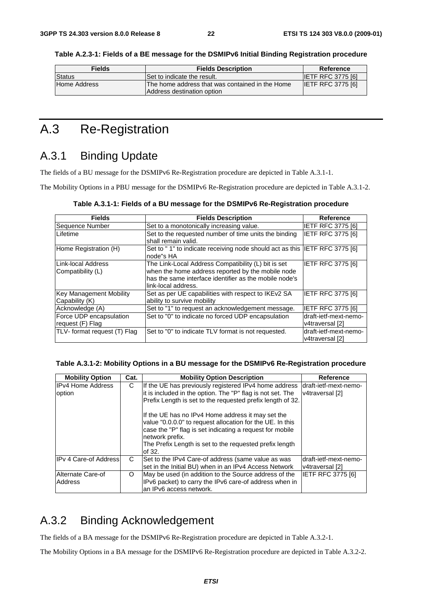| <b>Fields</b>       | <b>Fields Description</b>                                                      | Reference                |
|---------------------|--------------------------------------------------------------------------------|--------------------------|
| <b>Status</b>       | Set to indicate the result.                                                    | <b>IETF RFC 3775 [6]</b> |
| <b>Home Address</b> | IThe home address that was contained in the Home<br>Address destination option | <b>IETF RFC 3775 [6]</b> |

**Table A.2.3-1: Fields of a BE message for the DSMIPv6 Initial Binding Registration procedure** 

## A.3 Re-Registration

## A.3.1 Binding Update

The fields of a BU message for the DSMIPv6 Re-Registration procedure are depicted in Table A.3.1-1.

The Mobility Options in a PBU message for the DSMIPv6 Re-Registration procedure are depicted in Table A.3.1-2.

| <b>Fields</b>                               | <b>Fields Description</b>                                                                                                                                                                 | Reference                                |
|---------------------------------------------|-------------------------------------------------------------------------------------------------------------------------------------------------------------------------------------------|------------------------------------------|
| Sequence Number                             | Set to a monotonically increasing value.                                                                                                                                                  | <b>IETF RFC 3775 [6]</b>                 |
| Lifetime                                    | Set to the requested number of time units the binding<br>shall remain valid.                                                                                                              | <b>IETF RFC 3775 [6]</b>                 |
| Home Registration (H)                       | Set to "1" to indicate receiving node should act as this IETF RFC 3775 [6]<br>node"s HA                                                                                                   |                                          |
| Link-local Address<br>Compatibility (L)     | The Link-Local Address Compatibility (L) bit is set<br>when the home address reported by the mobile node<br>has the same interface identifier as the mobile node's<br>link-local address. | IETF RFC 3775 [6]                        |
| Key Management Mobility<br>Capability (K)   | Set as per UE capabilities with respect to IKEv2 SA<br>ability to survive mobility                                                                                                        | IETF RFC 3775 [6]                        |
| Acknowledge (A)                             | Set to "1" to request an acknowledgement message.                                                                                                                                         | IETF RFC 3775 [6]                        |
| Force UDP encapsulation<br>request (F) Flag | Set to "0" to indicate no forced UDP encapsulation                                                                                                                                        | draft-ietf-mext-nemo-<br>v4traversal [2] |
| TLV- format request (T) Flag                | Set to "0" to indicate TLV format is not requested.                                                                                                                                       | draft-ietf-mext-nemo-<br>v4traversal [2] |

#### **Table A.3.1-2: Mobility Options in a BU message for the DSMIPv6 Re-Registration procedure**

| <b>Mobility Option</b>   | Cat. | <b>Mobility Option Description</b>                                                                                                                                                                                                                                 | Reference                                |
|--------------------------|------|--------------------------------------------------------------------------------------------------------------------------------------------------------------------------------------------------------------------------------------------------------------------|------------------------------------------|
| <b>IPv4 Home Address</b> | C    | If the UE has previously registered IPv4 home address                                                                                                                                                                                                              | draft-ietf-mext-nemo-                    |
| option                   |      | it is included in the option. The "P" flag is not set. The                                                                                                                                                                                                         | v4traversal [2]                          |
|                          |      | Prefix Length is set to the requested prefix length of 32.                                                                                                                                                                                                         |                                          |
|                          |      | If the UE has no IPv4 Home address it may set the<br>value "0.0.0.0" to request allocation for the UE. In this<br>case the "P" flag is set indicating a request for mobile<br>network prefix.<br>The Prefix Length is set to the requested prefix length<br>of 32. |                                          |
| IPv 4 Care-of Address    | C.   | Set to the IPv4 Care-of address (same value as was<br>set in the Initial BU) when in an IPv4 Access Network                                                                                                                                                        | draft-ietf-mext-nemo-<br>v4traversal [2] |
| Alternate Care-of        | O    | May be used (in addition to the Source address of the                                                                                                                                                                                                              | <b>IETF RFC 3775 [6]</b>                 |
| Address                  |      | IPv6 packet) to carry the IPv6 care-of address when in                                                                                                                                                                                                             |                                          |
|                          |      | an IPv6 access network.                                                                                                                                                                                                                                            |                                          |

### A.3.2 Binding Acknowledgement

The fields of a BA message for the DSMIPv6 Re-Registration procedure are depicted in Table A.3.2-1.

The Mobility Options in a BA message for the DSMIPv6 Re-Registration procedure are depicted in Table A.3.2-2.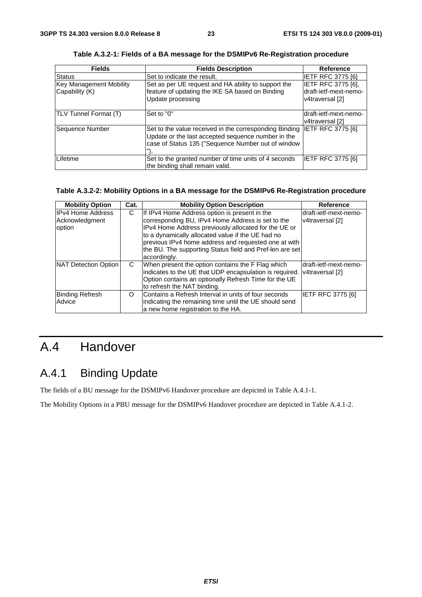| <b>Fields</b>                                    | <b>Fields Description</b>                                                                                                                                          | Reference                                                      |
|--------------------------------------------------|--------------------------------------------------------------------------------------------------------------------------------------------------------------------|----------------------------------------------------------------|
| <b>Status</b>                                    | Set to indicate the result.                                                                                                                                        | <b>IETF RFC 3775 [6]</b>                                       |
| <b>Key Management Mobility</b><br>Capability (K) | Set as per UE request and HA ability to support the<br>feature of updating the IKE SA based on Binding<br>Update processing                                        | IETF RFC 3775 [6],<br>draft-ietf-mext-nemo-<br>v4traversal [2] |
| TLV Tunnel Format (T)                            | Set to "0"                                                                                                                                                         | draft-ietf-mext-nemo-<br>v4traversal [2]                       |
| Sequence Number                                  | Set to the value received in the corresponding Binding<br>Update or the last accepted sequence number in the<br>case of Status 135 ("Sequence Number out of window | <b>IETF RFC 3775 [6]</b>                                       |
| Lifetime                                         | Set to the granted number of time units of 4 seconds<br>the binding shall remain valid.                                                                            | <b>IETF RFC 3775 [6]</b>                                       |

**Table A.3.2-1: Fields of a BA message for the DSMIPv6 Re-Registration procedure** 

#### **Table A.3.2-2: Mobility Options in a BA message for the DSMIPv6 Re-Registration procedure**

| <b>Mobility Option</b> | Cat.     | <b>Mobility Option Description</b>                       | <b>Reference</b>      |
|------------------------|----------|----------------------------------------------------------|-----------------------|
| IPv4 Home Address      | C        | If IPv4 Home Address option is present in the            | draft-ietf-mext-nemo- |
| Acknowledgment         |          | corresponding BU, IPv4 Home Address is set to the        | v4traversal [2]       |
| option                 |          | IPv4 Home Address previously allocated for the UE or     |                       |
|                        |          | to a dynamically allocated value if the UE had no        |                       |
|                        |          | previous IPv4 home address and requested one at with     |                       |
|                        |          | the BU. The supporting Status field and Pref-len are set |                       |
|                        |          | accordingly.                                             |                       |
| NAT Detection Option   | C.       | When present the option contains the F Flag which        | draft-ietf-mext-nemo- |
|                        |          | indicates to the UE that UDP encapsulation is required.  | v4traversal [2]       |
|                        |          | Option contains an optionally Refresh Time for the UE    |                       |
|                        |          | to refresh the NAT binding.                              |                       |
| Binding Refresh        | $\Omega$ | Contains a Refresh Interval in units of four seconds     | IETF RFC 3775 [6]     |
| Advice                 |          | indicating the remaining time until the UE should send   |                       |
|                        |          | a new home registration to the HA.                       |                       |

## A.4 Handover

## A.4.1 Binding Update

The fields of a BU message for the DSMIPv6 Handover procedure are depicted in Table A.4.1-1.

The Mobility Options in a PBU message for the DSMIPv6 Handover procedure are depicted in Table A.4.1-2.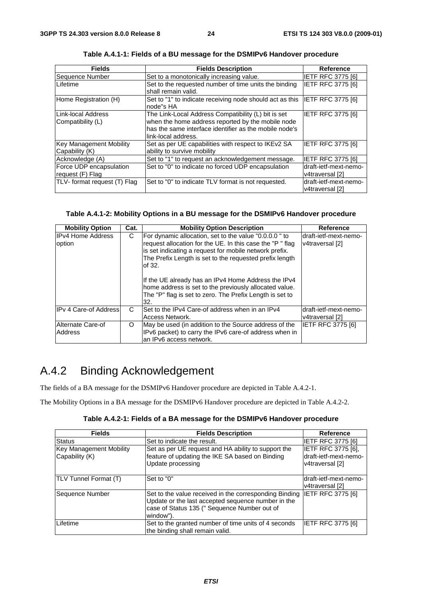| <b>Fields</b>                                    | <b>Fields Description</b>                                                                                                                                                                 | <b>Reference</b>                         |
|--------------------------------------------------|-------------------------------------------------------------------------------------------------------------------------------------------------------------------------------------------|------------------------------------------|
| Sequence Number                                  | Set to a monotonically increasing value.                                                                                                                                                  | <b>IETF RFC 3775 [6]</b>                 |
| Lifetime                                         | Set to the requested number of time units the binding<br>shall remain valid.                                                                                                              | <b>IETF RFC 3775 [6]</b>                 |
| Home Registration (H)                            | Set to "1" to indicate receiving node should act as this<br>node"s HA                                                                                                                     | <b>IETF RFC 3775 [6]</b>                 |
| Link-local Address<br>Compatibility (L)          | The Link-Local Address Compatibility (L) bit is set<br>when the home address reported by the mobile node<br>has the same interface identifier as the mobile node's<br>link-local address. | <b>IETF RFC 3775 [6]</b>                 |
| <b>Key Management Mobility</b><br>Capability (K) | Set as per UE capabilities with respect to IKEv2 SA<br>ability to survive mobility                                                                                                        | <b>IETF RFC 3775 [6]</b>                 |
| Acknowledge (A)                                  | Set to "1" to request an acknowledgement message.                                                                                                                                         | <b>IETF RFC 3775 [6]</b>                 |
| Force UDP encapsulation<br>request (F) Flag      | Set to "0" to indicate no forced UDP encapsulation                                                                                                                                        | draft-ietf-mext-nemo-<br>v4traversal [2] |
| TLV- format request (T) Flag                     | Set to "0" to indicate TLV format is not requested.                                                                                                                                       | draft-ietf-mext-nemo-<br>v4traversal [2] |

**Table A.4.1-1: Fields of a BU message for the DSMIPv6 Handover procedure** 

#### **Table A.4.1-2: Mobility Options in a BU message for the DSMIPv6 Handover procedure**

| <b>Mobility Option</b>             | Cat. | <b>Mobility Option Description</b>                                                                                                                                                                                                                                                                                                                                                                                                    | Reference                                 |
|------------------------------------|------|---------------------------------------------------------------------------------------------------------------------------------------------------------------------------------------------------------------------------------------------------------------------------------------------------------------------------------------------------------------------------------------------------------------------------------------|-------------------------------------------|
| <b>IPv4 Home Address</b><br>option | C    | For dynamic allocation, set to the value "0.0.0.0" to<br>request allocation for the UE. In this case the "P" flag<br>is set indicating a request for mobile network prefix.<br>The Prefix Length is set to the requested prefix length<br>lof 32.<br>If the UE already has an IPv4 Home Address the IPv4<br>home address is set to the previously allocated value.<br>The "P" flag is set to zero. The Prefix Length is set to<br>32. | Idraft-ietf-mext-nemo-<br>v4traversal [2] |
| <b>IPv 4 Care-of Address</b>       | C    | ISet to the IPv4 Care-of address when in an IPv4<br>Access Network.                                                                                                                                                                                                                                                                                                                                                                   | Idraft-ietf-mext-nemo-<br>v4traversal [2] |
| Alternate Care-of<br>Address       | O    | May be used (in addition to the Source address of the<br>IPv6 packet) to carry the IPv6 care-of address when in<br>lan IPv6 access network.                                                                                                                                                                                                                                                                                           | <b>IETF RFC 3775 [6]</b>                  |

## A.4.2 Binding Acknowledgement

The fields of a BA message for the DSMIPv6 Handover procedure are depicted in Table A.4.2-1.

The Mobility Options in a BA message for the DSMIPv6 Handover procedure are depicted in Table A.4.2-2.

**Table A.4.2-1: Fields of a BA message for the DSMIPv6 Handover procedure** 

| <b>Fields</b>                             | <b>Fields Description</b>                                                                                                                                                 | Reference                                                      |
|-------------------------------------------|---------------------------------------------------------------------------------------------------------------------------------------------------------------------------|----------------------------------------------------------------|
| Status                                    | Set to indicate the result.                                                                                                                                               | <b>IETF RFC 3775 [6]</b>                                       |
| Key Management Mobility<br>Capability (K) | Set as per UE request and HA ability to support the<br>feature of updating the IKE SA based on Binding<br>Update processing                                               | IETF RFC 3775 [6],<br>draft-ietf-mext-nemo-<br>v4traversal [2] |
| TLV Tunnel Format (T)                     | Set to "0"                                                                                                                                                                | draft-ietf-mext-nemo-<br>v4traversal [2]                       |
| Sequence Number                           | Set to the value received in the corresponding Binding<br>Update or the last accepted sequence number in the<br>case of Status 135 (" Sequence Number out of<br>window"). | IETF RFC 3775 [6]                                              |
| Lifetime                                  | Set to the granted number of time units of 4 seconds<br>the binding shall remain valid.                                                                                   | <b>IETF RFC 3775 [6]</b>                                       |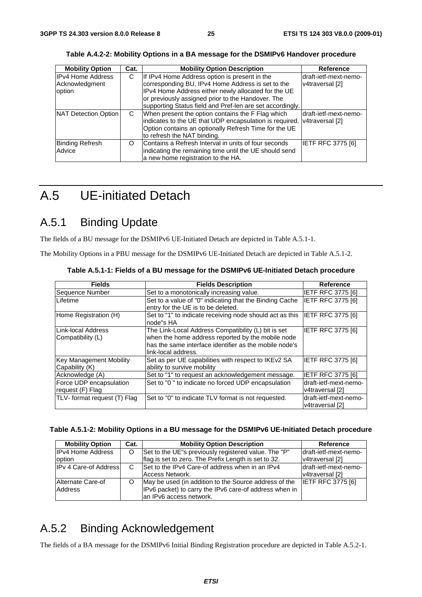| <b>Mobility Option</b>                               | Cat. | <b>Mobility Option Description</b>                                                                                                                                                                                                                                          | Reference                                 |
|------------------------------------------------------|------|-----------------------------------------------------------------------------------------------------------------------------------------------------------------------------------------------------------------------------------------------------------------------------|-------------------------------------------|
| <b>IPv4 Home Address</b><br>Acknowledgment<br>option | С    | If IPv4 Home Address option is present in the<br>corresponding BU, IPv4 Home Address is set to the<br>IPv4 Home Address either newly allocated for the UE<br>or previously assigned prior to the Handover. The<br>supporting Status field and Pref-len are set accordingly. | ldraft-ietf-mext-nemo-<br>v4traversal [2] |
| NAT Detection Option                                 | C    | When present the option contains the F Flag which<br>indicates to the UE that UDP encapsulation is required. v4traversal [2]<br>Option contains an optionally Refresh Time for the UE<br>to refresh the NAT binding.                                                        | draft-ietf-mext-nemo-                     |
| <b>Binding Refresh</b><br>Advice                     | O    | Contains a Refresh Interval in units of four seconds<br>indicating the remaining time until the UE should send<br>a new home registration to the HA.                                                                                                                        | <b>IETF RFC 3775 [6]</b>                  |

**Table A.4.2-2: Mobility Options in a BA message for the DSMIPv6 Handover procedure** 

## A.5 UE-initiated Detach

## A.5.1 Binding Update

The fields of a BU message for the DSMIPv6 UE-Initiated Detach are depicted in Table A.5.1-1.

The Mobility Options in a PBU message for the DSMIPv6 UE-Initiated Detach are depicted in Table A.5.1-2.

| <b>Fields</b>                                    | <b>Fields Description</b>                                                                                                                                                                  | <b>Reference</b>                         |
|--------------------------------------------------|--------------------------------------------------------------------------------------------------------------------------------------------------------------------------------------------|------------------------------------------|
| Sequence Number                                  | Set to a monotonically increasing value.                                                                                                                                                   | <b>IETF RFC 3775 [6]</b>                 |
| Lifetime                                         | Set to a value of "0" indicating that the Binding Cache<br>entry for the UE is to be deleted.                                                                                              | IETF RFC 3775 [6]                        |
| Home Registration (H)                            | Set to "1" to indicate receiving node should act as this<br>node"s HA                                                                                                                      | <b>IETF RFC 3775 [6]</b>                 |
| Link-local Address<br>Compatibility (L)          | The Link-Local Address Compatibility (L) bit is set<br>when the home address reported by the mobile node<br>has the same interface identifier as the mobile node's<br>llink-local address. | <b>IETF RFC 3775 [6]</b>                 |
| <b>Key Management Mobility</b><br>Capability (K) | Set as per UE capabilities with respect to IKEv2 SA<br>ability to survive mobility                                                                                                         | IETF RFC 3775 [6]                        |
| Acknowledge (A)                                  | Set to "1" to request an acknowledgement message.                                                                                                                                          | <b>IETF RFC 3775 [6]</b>                 |
| Force UDP encapsulation<br>request (F) Flag      | Set to "0" to indicate no forced UDP encapsulation                                                                                                                                         | draft-ietf-mext-nemo-<br>v4traversal [2] |
| TLV- format request (T) Flag                     | Set to "0" to indicate TLV format is not requested.                                                                                                                                        | draft-ietf-mext-nemo-<br>v4traversal [2] |

**Table A.5.1-1: Fields of a BU message for the DSMIPv6 UE-Initiated Detach procedure** 

#### **Table A.5.1-2: Mobility Options in a BU message for the DSMIPv6 UE-Initiated Detach procedure**

| <b>Mobility Option</b>       | Cat. | <b>Mobility Option Description</b>                     | Reference                |
|------------------------------|------|--------------------------------------------------------|--------------------------|
| <b>IPv4 Home Address</b>     | O    | Set to the UE"s previously registered value. The "P"   | Idraft-ietf-mext-nemo-   |
| <b>loption</b>               |      | flag is set to zero. The Prefix Length is set to 32.   | v4traversal [2]          |
| <b>IPv 4 Care-of Address</b> | C    | Set to the IPv4 Care-of address when in an IPv4        | ldraft-ietf-mext-nemo-   |
|                              |      | Access Network.                                        | v4traversal [2]          |
| Alternate Care-of            | O    | May be used (in addition to the Source address of the  | <b>IETF RFC 3775 [6]</b> |
| Address                      |      | IPv6 packet) to carry the IPv6 care-of address when in |                          |
|                              |      | an IPv6 access network.                                |                          |

## A.5.2 Binding Acknowledgement

The fields of a BA message for the DSMIPv6 Initial Binding Registration procedure are depicted in Table A.5.2-1.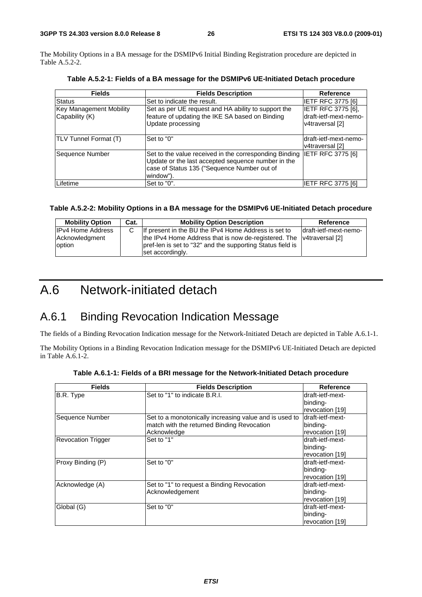The Mobility Options in a BA message for the DSMIPv6 Initial Binding Registration procedure are depicted in Table A.5.2-2.

| <b>Fields</b>                             | <b>Fields Description</b>                                                                                                                                                | <b>Reference</b>                                               |
|-------------------------------------------|--------------------------------------------------------------------------------------------------------------------------------------------------------------------------|----------------------------------------------------------------|
| Status                                    | Set to indicate the result.                                                                                                                                              | IETF RFC 3775 [6]                                              |
| Key Management Mobility<br>Capability (K) | Set as per UE request and HA ability to support the<br>feature of updating the IKE SA based on Binding<br>Update processing                                              | IETF RFC 3775 [6],<br>draft-ietf-mext-nemo-<br>v4traversal [2] |
| <b>TLV Tunnel Format (T)</b>              | Set to "0"                                                                                                                                                               | Idraft-ietf-mext-nemo-<br>v4traversal [2]                      |
| Sequence Number                           | Set to the value received in the corresponding Binding<br>Update or the last accepted sequence number in the<br>case of Status 135 ("Sequence Number out of<br>window"). | <b>IETF RFC 3775 [6]</b>                                       |
| Lifetime                                  | Set to "0".                                                                                                                                                              | <b>IETF RFC 3775 [6]</b>                                       |

**Table A.5.2-1: Fields of a BA message for the DSMIPv6 UE-Initiated Detach procedure** 

#### **Table A.5.2-2: Mobility Options in a BA message for the DSMIPv6 UE-Initiated Detach procedure**

| <b>Mobility Option</b>                               | Cat. | <b>Mobility Option Description</b>                                                                                                                                                         | Reference              |
|------------------------------------------------------|------|--------------------------------------------------------------------------------------------------------------------------------------------------------------------------------------------|------------------------|
| <b>IPv4 Home Address</b><br>Acknowledgment<br>option |      | If present in the BU the IPv4 Home Address is set to<br>the IPv4 Home Address that is now de-registered. The v4traversal [2]<br>pref-len is set to "32" and the supporting Status field is | ldraft-ietf-mext-nemo- |
|                                                      |      | set accordingly.                                                                                                                                                                           |                        |

## A.6 Network-initiated detach

### A.6.1 Binding Revocation Indication Message

The fields of a Binding Revocation Indication message for the Network-Initiated Detach are depicted in Table A.6.1-1.

The Mobility Options in a Binding Revocation Indication message for the DSMIPv6 UE-Initiated Detach are depicted in Table A.6.1-2.

| <b>Fields</b>             | <b>Fields Description</b>                              | Reference        |
|---------------------------|--------------------------------------------------------|------------------|
| B.R. Type                 | Set to "1" to indicate B.R.I.                          | draft-ietf-mext- |
|                           |                                                        | binding-         |
|                           |                                                        | revocation [19]  |
| Sequence Number           | Set to a monotonically increasing value and is used to | draft-ietf-mext- |
|                           | match with the returned Binding Revocation             | binding-         |
|                           | Acknowledge                                            | revocation [19]  |
| <b>Revocation Trigger</b> | Set to "1"                                             | draft-ietf-mext- |
|                           |                                                        | binding-         |
|                           |                                                        | revocation [19]  |
| Proxy Binding (P)         | Set to "0"                                             | draft-ietf-mext- |
|                           |                                                        | binding-         |
|                           |                                                        | revocation [19]  |
| Acknowledge (A)           | Set to "1" to request a Binding Revocation             | draft-ietf-mext- |
|                           | Acknowledgement                                        | binding-         |
|                           |                                                        | revocation [19]  |
| Global (G)                | Set to "0"                                             | draft-ietf-mext- |
|                           |                                                        | binding-         |
|                           |                                                        | revocation [19]  |

**Table A.6.1-1: Fields of a BRI message for the Network-Initiated Detach procedure**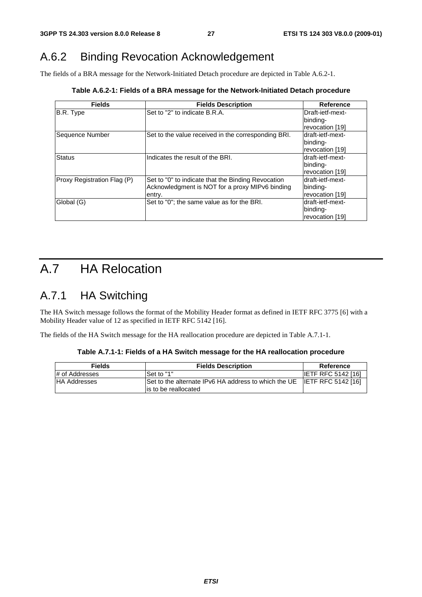## A.6.2 Binding Revocation Acknowledgement

The fields of a BRA message for the Network-Initiated Detach procedure are depicted in Table A.6.2-1.

| <b>Fields</b>               | <b>Fields Description</b>                           | <b>Reference</b> |  |
|-----------------------------|-----------------------------------------------------|------------------|--|
| B.R. Type                   | Set to "2" to indicate B.R.A.                       | Draft-ietf-mext- |  |
|                             |                                                     | binding-         |  |
|                             |                                                     | revocation [19]  |  |
| Sequence Number             | Set to the value received in the corresponding BRI. | draft-ietf-mext- |  |
|                             |                                                     | binding-         |  |
|                             |                                                     | revocation [19]  |  |
| <b>Status</b>               | Indicates the result of the BRI.                    | draft-ietf-mext- |  |
|                             |                                                     | binding-         |  |
|                             |                                                     | revocation [19]  |  |
| Proxy Registration Flag (P) | Set to "0" to indicate that the Binding Revocation  | draft-ietf-mext- |  |
|                             | Acknowledgment is NOT for a proxy MIPv6 binding     | binding-         |  |
|                             | entry.                                              | revocation [19]  |  |
| Global (G)                  | Set to "0"; the same value as for the BRI.          | draft-ietf-mext- |  |
|                             |                                                     | binding-         |  |
|                             |                                                     | revocation [19]  |  |

## A.7 HA Relocation

## A.7.1 HA Switching

The HA Switch message follows the format of the Mobility Header format as defined in IETF RFC 3775 [6] with a Mobility Header value of 12 as specified in IETF RFC 5142 [16].

The fields of the HA Switch message for the HA reallocation procedure are depicted in Table A.7.1-1.

**Table A.7.1-1: Fields of a HA Switch message for the HA reallocation procedure** 

| <b>Fields</b>       | <b>Fields Description</b>                                                                        | Reference                 |  |  |
|---------------------|--------------------------------------------------------------------------------------------------|---------------------------|--|--|
| # of Addresses      | Set to "1"                                                                                       | <b>IETF RFC 5142 [16]</b> |  |  |
| <b>HA Addresses</b> | Set to the alternate IPv6 HA address to which the UE IETF RFC 5142 [16]<br>lis to be reallocated |                           |  |  |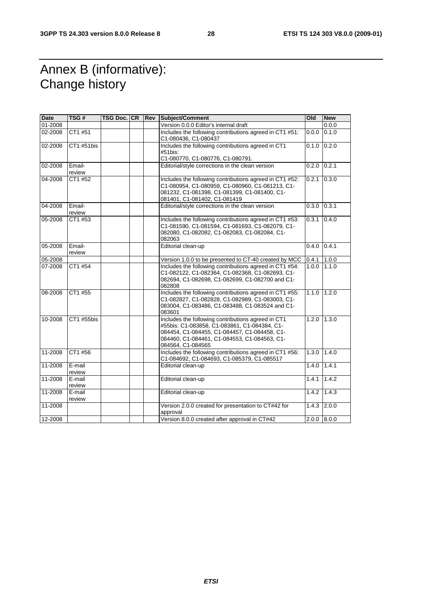## Annex B (informative): Change history

| <b>Date</b> | TSG#             | TSG Doc. CR Rev |  | Subject/Comment                                                                                                                                                                                                         | <b>Old</b>    | <b>New</b> |
|-------------|------------------|-----------------|--|-------------------------------------------------------------------------------------------------------------------------------------------------------------------------------------------------------------------------|---------------|------------|
| 01-2008     |                  |                 |  | Version 0.0.0 Editor's internal draft                                                                                                                                                                                   |               | 0.0.0      |
| 02-2008     | CT1 #51          |                 |  | Includes the following contributions agreed in CT1 #51:<br>C1-080436, C1-080437                                                                                                                                         | 0.0.0         | 0.1.0      |
| 02-2008     | CT1 #51bis       |                 |  | Includes the following contributions agreed in CT1<br>#51bis:<br>C1-080770, C1-080776, C1-080791.                                                                                                                       | 0.1.0         | 0.2.0      |
| 02-2008     | Email-<br>review |                 |  | Editorial/style corrections in the clean version                                                                                                                                                                        | 0.2.0         | 0.2.1      |
| 04-2008     | CT1 #52          |                 |  | Includes the following contributions agreed in CT1 #52:<br>C1-080954, C1-080959, C1-080960, C1-081213, C1-<br>081232, C1-081398, C1-081399, C1-081400, C1-<br>081401, C1-081402, C1-081419                              | 0.2.1         | 0.3.0      |
| 04-2008     | Email-<br>review |                 |  | Editorial/style corrections in the clean version                                                                                                                                                                        | 0.3.0         | 0.3.1      |
| 05-2008     | CT1 #53          |                 |  | Includes the following contributions agreed in CT1 #53:<br>C1-081590, C1-081594, C1-081693, C1-082079, C1-<br>082080, C1-082082, C1-082083, C1-082084, C1-<br>082063                                                    | 0.3.1         | 0.4.0      |
| 05-2008     | Email-<br>review |                 |  | Editorial clean-up                                                                                                                                                                                                      | 0.4.0         | 0.4.1      |
| 05-2008     |                  |                 |  | Version 1.0.0 to be presented to CT-40 created by MCC                                                                                                                                                                   | 0.4.1         | 1.0.0      |
| 07-2008     | CT1 #54          |                 |  | Includes the following contributions agreed in CT1 #54:<br>C1-082122, C1-082364, C1-082368, C1-082693, C1-<br>082694, C1-082698, C1-082699, C1-082700 and C1-<br>082808                                                 | 1.0.0         | 1.1.0      |
| 08-2008     | CT1 #55          |                 |  | Includes the following contributions agreed in CT1 #55:<br>C1-082827, C1-082828, C1-082989, C1-083003, C1-<br>083004, C1-083486, C1-083488, C1-083524 and C1-<br>083601                                                 | 1.1.0         | 1.2.0      |
| 10-2008     | CT1 #55bis       |                 |  | Includes the following contributions agreed in CT1<br>#55bis: C1-083858, C1-083861, C1-084384, C1-<br>084454, C1-084455, C1-084457, C1-084458, C1-<br>084460, C1-084461, C1-084553, C1-084563, C1-<br>084564, C1-084565 | 1.2.0         | 1.3.0      |
| 11-2008     | CT1 #56          |                 |  | Includes the following contributions agreed in CT1 #56:<br>C1-084692, C1-084693, C1-085379, C1-085517                                                                                                                   | 1.3.0         | 1.4.0      |
| 11-2008     | E-mail<br>review |                 |  | Editorial clean-up                                                                                                                                                                                                      | 1.4.0         | 1.4.1      |
| 11-2008     | E-mail<br>review |                 |  | Editorial clean-up                                                                                                                                                                                                      | 1.4.1         | 1.4.2      |
| 11-2008     | E-mail<br>review |                 |  | Editorial clean-up                                                                                                                                                                                                      | 1.4.2         | 1.4.3      |
| 11-2008     |                  |                 |  | Version 2.0.0 created for presentation to CT#42 for<br>approval                                                                                                                                                         | 1.4.3         | 2.0.0      |
| 12-2008     |                  |                 |  | Version 8.0.0 created after approval in CT#42                                                                                                                                                                           | $2.0.0$ 8.0.0 |            |